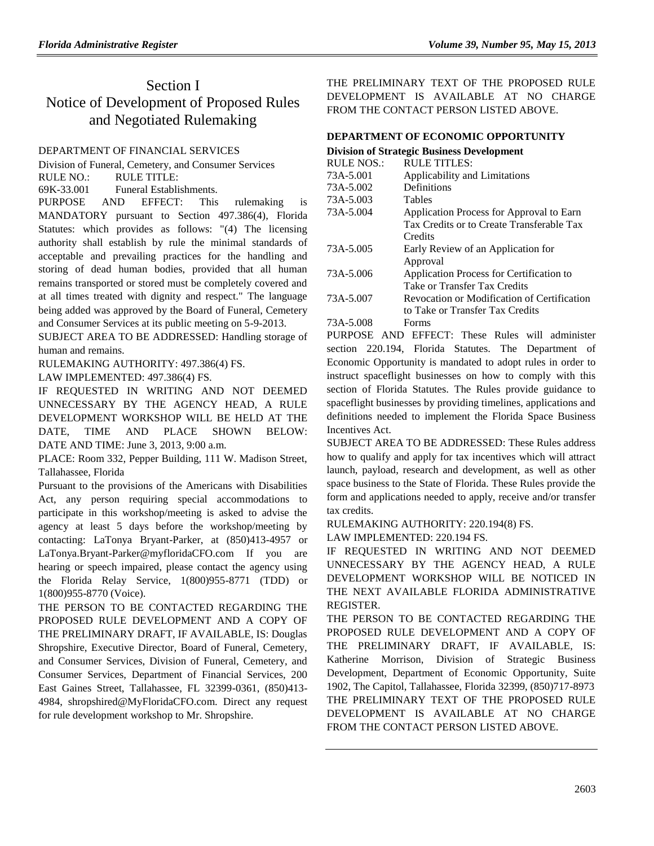# Section I Notice of Development of Proposed Rules and Negotiated Rulemaking

## [DEPARTMENT OF FINANCIAL SERVICES](https://www.flrules.org/gateway/department.asp?id=69)

[Division of Funeral, Cemetery, and Consumer Services](https://www.flrules.org/gateway/organization.asp?id=369)

RULE NO.: RULE TITLE:

[69K-33.001](https://www.flrules.org/gateway/ruleNo.asp?id=69K-33.001) Funeral Establishments.

PURPOSE AND EFFECT: This rulemaking is MANDATORY pursuant to Section 497.386(4), Florida Statutes: which provides as follows: "(4) The licensing authority shall establish by rule the minimal standards of acceptable and prevailing practices for the handling and storing of dead human bodies, provided that all human remains transported or stored must be completely covered and at all times treated with dignity and respect." The language being added was approved by the Board of Funeral, Cemetery and Consumer Services at its public meeting on 5-9-2013.

SUBJECT AREA TO BE ADDRESSED: Handling storage of human and remains.

RULEMAKING AUTHORITY: [497.386\(4\) FS.](https://www.flrules.org/gateway/cfr.asp?id=Section%20497.386(4).)

LAW IMPLEMENTED: [497.386\(4\) FS.](https://www.flrules.org/gateway/cfr.asp?id=Section%20497.386(4).)

IF REQUESTED IN WRITING AND NOT DEEMED UNNECESSARY BY THE AGENCY HEAD, A RULE DEVELOPMENT WORKSHOP WILL BE HELD AT THE DATE, TIME AND PLACE SHOWN BELOW: DATE AND TIME: June 3, 2013, 9:00 a.m.

PLACE: Room 332, Pepper Building, 111 W. Madison Street, Tallahassee, Florida

Pursuant to the provisions of the Americans with Disabilities Act, any person requiring special accommodations to participate in this workshop/meeting is asked to advise the agency at least 5 days before the workshop/meeting by contacting: LaTonya Bryant-Parker, at (850)413-4957 or LaTonya.Bryant-Parker@myfloridaCFO.com If you are hearing or speech impaired, please contact the agency using the Florida Relay Service, 1(800)955-8771 (TDD) or 1(800)955-8770 (Voice).

THE PERSON TO BE CONTACTED REGARDING THE PROPOSED RULE DEVELOPMENT AND A COPY OF THE PRELIMINARY DRAFT, IF AVAILABLE, IS: Douglas Shropshire, Executive Director, Board of Funeral, Cemetery, and Consumer Services, Division of Funeral, Cemetery, and Consumer Services, Department of Financial Services, 200 East Gaines Street, Tallahassee, FL 32399-0361, (850)413- 4984, shropshired@MyFloridaCFO.com. Direct any request for rule development workshop to Mr. Shropshire.

THE PRELIMINARY TEXT OF THE PROPOSED RULE DEVELOPMENT IS AVAILABLE AT NO CHARGE FROM THE CONTACT PERSON LISTED ABOVE.

## **[DEPARTMENT OF ECONOMIC OPPORTUNITY](https://www.flrules.org/gateway/department.asp?id=73)**

| <b>Division of Strategic Business Development</b> |                                             |  |
|---------------------------------------------------|---------------------------------------------|--|
| <b>RULE NOS.:</b>                                 | <b>RULE TITLES:</b>                         |  |
| 73A-5.001                                         | Applicability and Limitations               |  |
| 73A-5.002                                         | Definitions                                 |  |
| 73A-5.003                                         | <b>Tables</b>                               |  |
| 73A-5.004                                         | Application Process for Approval to Earn    |  |
|                                                   | Tax Credits or to Create Transferable Tax   |  |
|                                                   | Credits                                     |  |
| 73A-5.005                                         | Early Review of an Application for          |  |
|                                                   | Approval                                    |  |
| 73A-5.006                                         | Application Process for Certification to    |  |
|                                                   | Take or Transfer Tax Credits                |  |
| 73A-5.007                                         | Revocation or Modification of Certification |  |
|                                                   | to Take or Transfer Tax Credits             |  |
| 73A-5.008                                         | Forms                                       |  |

PURPOSE AND EFFECT: These Rules will administer section 220.194, Florida Statutes. The Department of Economic Opportunity is mandated to adopt rules in order to instruct spaceflight businesses on how to comply with this section of Florida Statutes. The Rules provide guidance to spaceflight businesses by providing timelines, applications and definitions needed to implement the Florida Space Business Incentives Act.

SUBJECT AREA TO BE ADDRESSED: These Rules address how to qualify and apply for tax incentives which will attract launch, payload, research and development, as well as other space business to the State of Florida. These Rules provide the form and applications needed to apply, receive and/or transfer tax credits.

RULEMAKING AUTHORITY: [220.194\(8\) FS.](https://www.flrules.org/gateway/statute.asp?id=220.194(8)%20FS.)

LAW IMPLEMENTED: [220.194 FS.](https://www.flrules.org/gateway/statute.asp?id=220.194%20FS.)

IF REQUESTED IN WRITING AND NOT DEEMED UNNECESSARY BY THE AGENCY HEAD, A RULE DEVELOPMENT WORKSHOP WILL BE NOTICED IN THE NEXT AVAILABLE FLORIDA ADMINISTRATIVE REGISTER.

THE PERSON TO BE CONTACTED REGARDING THE PROPOSED RULE DEVELOPMENT AND A COPY OF THE PRELIMINARY DRAFT, IF AVAILABLE, IS: Katherine Morrison, Division of Strategic Business Development, Department of Economic Opportunity, Suite 1902, The Capitol, Tallahassee, Florida 32399, (850)717-8973 THE PRELIMINARY TEXT OF THE PROPOSED RULE DEVELOPMENT IS AVAILABLE AT NO CHARGE FROM THE CONTACT PERSON LISTED ABOVE.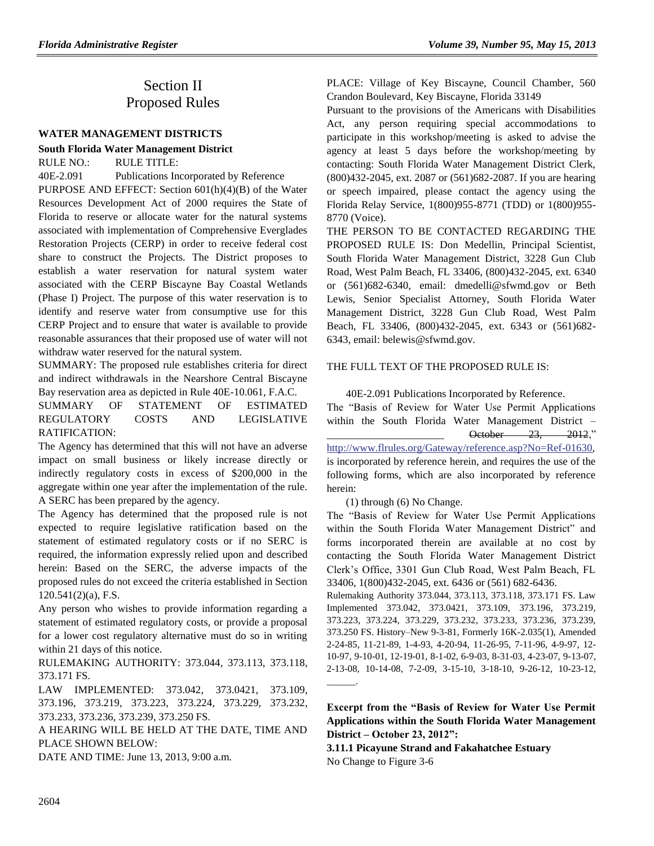# Section II Proposed Rules

#### **[WATER MANAGEMENT DISTRICTS](https://www.flrules.org/gateway/department.asp?id=40)**

#### **[South Florida Water Management District](https://www.flrules.org/gateway/organization.asp?id=124)**

RULE NO.: RULE TITLE:

[40E-2.091](https://www.flrules.org/gateway/ruleNo.asp?id=40E-2.091) Publications Incorporated by Reference

PURPOSE AND EFFECT: Section 601(h)(4)(B) of the Water Resources Development Act of 2000 requires the State of Florida to reserve or allocate water for the natural systems associated with implementation of Comprehensive Everglades Restoration Projects (CERP) in order to receive federal cost share to construct the Projects. The District proposes to establish a water reservation for natural system water associated with the CERP Biscayne Bay Coastal Wetlands (Phase I) Project. The purpose of this water reservation is to identify and reserve water from consumptive use for this CERP Project and to ensure that water is available to provide reasonable assurances that their proposed use of water will not withdraw water reserved for the natural system.

SUMMARY: The proposed rule establishes criteria for direct and indirect withdrawals in the Nearshore Central Biscayne Bay reservation area as depicted in Rule 40E-10.061, F.A.C.

SUMMARY OF STATEMENT OF ESTIMATED REGULATORY COSTS AND LEGISLATIVE RATIFICATION:

The Agency has determined that this will not have an adverse impact on small business or likely increase directly or indirectly regulatory costs in excess of \$200,000 in the aggregate within one year after the implementation of the rule. A SERC has been prepared by the agency.

The Agency has determined that the proposed rule is not expected to require legislative ratification based on the statement of estimated regulatory costs or if no SERC is required, the information expressly relied upon and described herein: Based on the SERC, the adverse impacts of the proposed rules do not exceed the criteria established in Section 120.541(2)(a), F.S.

Any person who wishes to provide information regarding a statement of estimated regulatory costs, or provide a proposal for a lower cost regulatory alternative must do so in writing within 21 days of this notice.

RULEMAKING AUTHORITY: [373.044,](https://www.flrules.org/gateway/statute.asp?id=373.044) [373.113,](https://www.flrules.org/gateway/statute.asp?id=%20373.113) [373.118,](https://www.flrules.org/gateway/statute.asp?id=%20373.118) [373.171 FS.](https://www.flrules.org/gateway/statute.asp?id=%20373.171)

LAW IMPLEMENTED: [373.042,](https://www.flrules.org/gateway/statute.asp?id=373.042) [373.0421,](https://www.flrules.org/gateway/statute.asp?id=%20373.0421) [373.109,](https://www.flrules.org/gateway/statute.asp?id=%20373.109) [373.196,](https://www.flrules.org/gateway/statute.asp?id=%20373.196) [373.219,](https://www.flrules.org/gateway/statute.asp?id=%20373.219) [373.223,](https://www.flrules.org/gateway/statute.asp?id=%20373.223) [373.224,](https://www.flrules.org/gateway/statute.asp?id=%20373.224) [373.229,](https://www.flrules.org/gateway/statute.asp?id=%20373.229) [373.232,](https://www.flrules.org/gateway/statute.asp?id=%20373.232) [373.233,](https://www.flrules.org/gateway/statute.asp?id=%20373.233) [373.236,](https://www.flrules.org/gateway/statute.asp?id=%20373.236) [373.239,](https://www.flrules.org/gateway/statute.asp?id=%20373.239) [373.250 FS.](https://www.flrules.org/gateway/statute.asp?id=%20373.250)

A HEARING WILL BE HELD AT THE DATE, TIME AND PLACE SHOWN BELOW:

DATE AND TIME: June 13, 2013, 9:00 a.m.

PLACE: Village of Key Biscayne, Council Chamber, 560

Crandon Boulevard, Key Biscayne, Florida 33149 Pursuant to the provisions of the Americans with Disabilities

Act, any person requiring special accommodations to participate in this workshop/meeting is asked to advise the agency at least 5 days before the workshop/meeting by contacting: South Florida Water Management District Clerk, (800)432-2045, ext. 2087 or (561)682-2087. If you are hearing or speech impaired, please contact the agency using the Florida Relay Service, 1(800)955-8771 (TDD) or 1(800)955- 8770 (Voice).

THE PERSON TO BE CONTACTED REGARDING THE PROPOSED RULE IS: Don Medellin, Principal Scientist, South Florida Water Management District, 3228 Gun Club Road, West Palm Beach, FL 33406, (800)432-2045, ext. 6340 or (561)682-6340, email: dmedelli@sfwmd.gov or Beth Lewis, Senior Specialist Attorney, South Florida Water Management District, 3228 Gun Club Road, West Palm Beach, FL 33406, (800)432-2045, ext. 6343 or (561)682- 6343, email: belewis@sfwmd.gov.

#### THE FULL TEXT OF THE PROPOSED RULE IS:

40E-2.091 Publications Incorporated by Reference.

The "Basis of Review for Water Use Permit Applications within the South Florida Water Management District – \_\_\_\_\_\_\_\_\_\_\_\_\_\_\_\_\_\_\_\_\_\_ October 23, 2012,"

[http://www.flrules.org/Gateway/reference.asp?No=Ref-01630,](http://www.flrules.org/Gateway/reference.asp?No=Ref-01630) is incorporated by reference herein, and requires the use of the following forms, which are also incorporated by reference herein:

(1) through (6) No Change.

The "Basis of Review for Water Use Permit Applications within the South Florida Water Management District" and forms incorporated therein are available at no cost by contacting the South Florida Water Management District Clerk's Office, 3301 Gun Club Road, West Palm Beach, FL 33406, 1(800)432-2045, ext. 6436 or (561) 682-6436.

Rulemaking Authority 373.044, 373.113, 373.118, 373.171 FS. Law Implemented 373.042, 373.0421, 373.109, 373.196, 373.219, 373.223, 373.224, 373.229, 373.232, 373.233, 373.236, 373.239, 373.250 FS. History–New 9-3-81, Formerly 16K-2.035(1), Amended 2-24-85, 11-21-89, 1-4-93, 4-20-94, 11-26-95, 7-11-96, 4-9-97, 12- 10-97, 9-10-01, 12-19-01, 8-1-02, 6-9-03, 8-31-03, 4-23-07, 9-13-07, 2-13-08, 10-14-08, 7-2-09, 3-15-10, 3-18-10, 9-26-12, 10-23-12, \_\_\_\_\_\_.

**Excerpt from the "Basis of Review for Water Use Permit Applications within the South Florida Water Management District – October 23, 2012":**

**3.11.1 Picayune Strand and Fakahatchee Estuary** No Change to Figure 3-6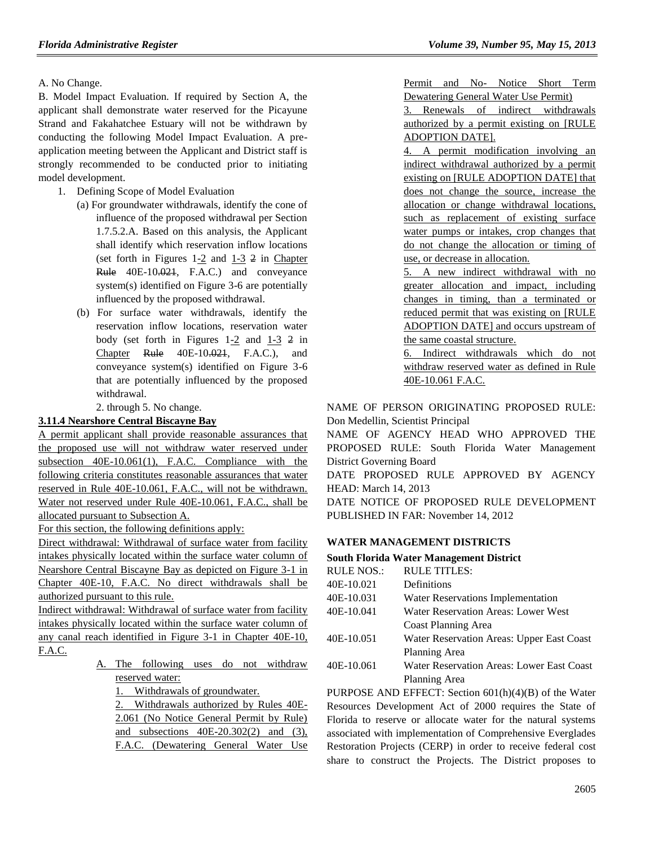A. No Change.

B. Model Impact Evaluation. If required by Section A, the applicant shall demonstrate water reserved for the Picayune Strand and Fakahatchee Estuary will not be withdrawn by conducting the following Model Impact Evaluation. A preapplication meeting between the Applicant and District staff is strongly recommended to be conducted prior to initiating model development.

- 1. Defining Scope of Model Evaluation
	- (a) For groundwater withdrawals, identify the cone of influence of the proposed withdrawal per Section 1.7.5.2.A. Based on this analysis, the Applicant shall identify which reservation inflow locations (set forth in Figures  $1-2$  and  $1-3$  2 in Chapter Rule 40E-10.021, F.A.C.) and conveyance system(s) identified on Figure 3-6 are potentially influenced by the proposed withdrawal.
	- (b) For surface water withdrawals, identify the reservation inflow locations, reservation water body (set forth in Figures 1-2 and 1-3 2 in Chapter Rule 40E-10.021, F.A.C.), and conveyance system(s) identified on Figure 3-6 that are potentially influenced by the proposed withdrawal.

2. through 5. No change.

## **3.11.4 Nearshore Central Biscayne Bay**

A permit applicant shall provide reasonable assurances that the proposed use will not withdraw water reserved under subsection 40E-10.061(1), F.A.C. Compliance with the following criteria constitutes reasonable assurances that water reserved in Rule 40E-10.061, F.A.C., will not be withdrawn. Water not reserved under Rule 40E-10.061, F.A.C., shall be allocated pursuant to Subsection A.

For this section, the following definitions apply:

Direct withdrawal: Withdrawal of surface water from facility intakes physically located within the surface water column of Nearshore Central Biscayne Bay as depicted on Figure 3-1 in Chapter 40E-10, F.A.C. No direct withdrawals shall be authorized pursuant to this rule.

Indirect withdrawal: Withdrawal of surface water from facility intakes physically located within the surface water column of any canal reach identified in Figure 3-1 in Chapter 40E-10, F.A.C.

> A. The following uses do not withdraw reserved water:

1. Withdrawals of groundwater.

2. Withdrawals authorized by Rules 40E-2.061 (No Notice General Permit by Rule) and subsections 40E-20.302(2) and (3), F.A.C. (Dewatering General Water Use

Permit and No- Notice Short Term Dewatering General Water Use Permit)

3. Renewals of indirect withdrawals authorized by a permit existing on [RULE ADOPTION DATE].

4. A permit modification involving an indirect withdrawal authorized by a permit existing on [RULE ADOPTION DATE] that does not change the source, increase the allocation or change withdrawal locations, such as replacement of existing surface water pumps or intakes, crop changes that do not change the allocation or timing of use, or decrease in allocation.

5. A new indirect withdrawal with no greater allocation and impact, including changes in timing, than a terminated or reduced permit that was existing on [RULE ADOPTION DATE] and occurs upstream of the same coastal structure.

6. Indirect withdrawals which do not withdraw reserved water as defined in Rule 40E-10.061 F.A.C.

NAME OF PERSON ORIGINATING PROPOSED RULE: Don Medellin, Scientist Principal

NAME OF AGENCY HEAD WHO APPROVED THE PROPOSED RULE: South Florida Water Management District Governing Board

DATE PROPOSED RULE APPROVED BY AGENCY HEAD: March 14, 2013

DATE NOTICE OF PROPOSED RULE DEVELOPMENT PUBLISHED IN FAR: November 14, 2012

## **[WATER MANAGEMENT DISTRICTS](https://www.flrules.org/gateway/department.asp?id=40)**

### **[South Florida Water Management District](https://www.flrules.org/gateway/organization.asp?id=124)**

| <b>RULE NOS.:</b> | <b>RULE TITLES:</b>                       |
|-------------------|-------------------------------------------|
| 40E-10.021        | Definitions                               |
| 40E-10.031        | Water Reservations Implementation         |
| 40E-10.041        | Water Reservation Areas: Lower West       |
|                   | Coast Planning Area                       |
| 40E-10.051        | Water Reservation Areas: Upper East Coast |
|                   | Planning Area                             |
| 40E-10.061        | Water Reservation Areas: Lower East Coast |
|                   | Planning Area                             |
|                   |                                           |

PURPOSE AND EFFECT: Section 601(h)(4)(B) of the Water Resources Development Act of 2000 requires the State of Florida to reserve or allocate water for the natural systems associated with implementation of Comprehensive Everglades Restoration Projects (CERP) in order to receive federal cost share to construct the Projects. The District proposes to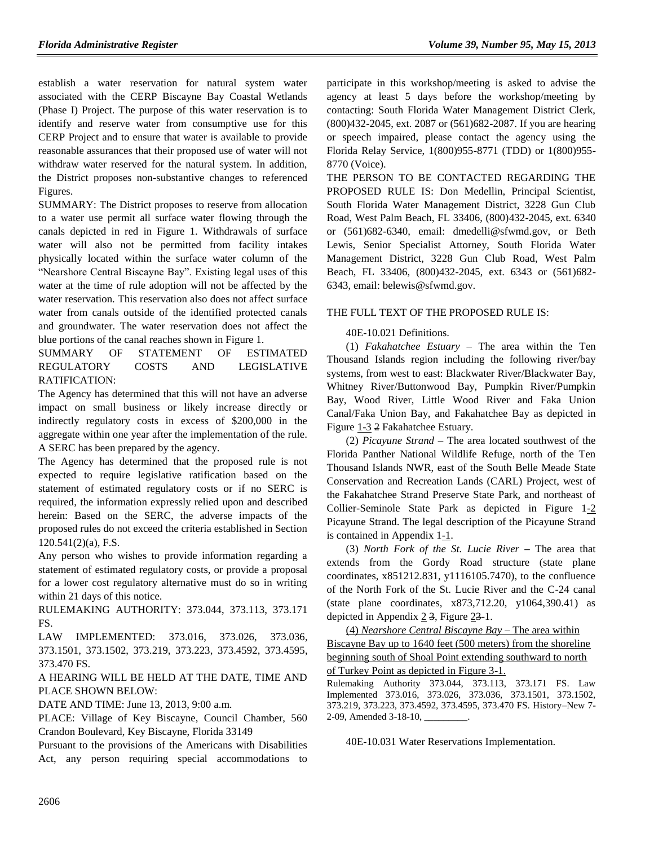establish a water reservation for natural system water associated with the CERP Biscayne Bay Coastal Wetlands (Phase I) Project. The purpose of this water reservation is to identify and reserve water from consumptive use for this CERP Project and to ensure that water is available to provide reasonable assurances that their proposed use of water will not withdraw water reserved for the natural system. In addition, the District proposes non-substantive changes to referenced Figures.

SUMMARY: The District proposes to reserve from allocation to a water use permit all surface water flowing through the canals depicted in red in Figure 1. Withdrawals of surface water will also not be permitted from facility intakes physically located within the surface water column of the "Nearshore Central Biscayne Bay". Existing legal uses of this water at the time of rule adoption will not be affected by the water reservation. This reservation also does not affect surface water from canals outside of the identified protected canals and groundwater. The water reservation does not affect the blue portions of the canal reaches shown in Figure 1.

SUMMARY OF STATEMENT OF ESTIMATED REGULATORY COSTS AND LEGISLATIVE RATIFICATION:

The Agency has determined that this will not have an adverse impact on small business or likely increase directly or indirectly regulatory costs in excess of \$200,000 in the aggregate within one year after the implementation of the rule. A SERC has been prepared by the agency.

The Agency has determined that the proposed rule is not expected to require legislative ratification based on the statement of estimated regulatory costs or if no SERC is required, the information expressly relied upon and described herein: Based on the SERC, the adverse impacts of the proposed rules do not exceed the criteria established in Section 120.541(2)(a), F.S.

Any person who wishes to provide information regarding a statement of estimated regulatory costs, or provide a proposal for a lower cost regulatory alternative must do so in writing within 21 days of this notice.

RULEMAKING AUTHORITY: [373.044,](https://www.flrules.org/gateway/statute.asp?id=373.044) [373.113,](https://www.flrules.org/gateway/statute.asp?id=%20373.113) [373.171](https://www.flrules.org/gateway/statute.asp?id=%20373.171)  [FS.](https://www.flrules.org/gateway/statute.asp?id=%20373.171)

LAW IMPLEMENTED: [373.016,](https://www.flrules.org/gateway/statute.asp?id=373.016) [373.026,](https://www.flrules.org/gateway/statute.asp?id=%20373.026) [373.036,](https://www.flrules.org/gateway/statute.asp?id=%20373.036) [373.1501,](https://www.flrules.org/gateway/statute.asp?id=%20373.1501) [373.1502,](https://www.flrules.org/gateway/statute.asp?id=%20373.1502) [373.219,](https://www.flrules.org/gateway/statute.asp?id=%20373.219) [373.223,](https://www.flrules.org/gateway/statute.asp?id=%20373.223) [373.4592,](https://www.flrules.org/gateway/statute.asp?id=%20373.4592) [373.4595,](https://www.flrules.org/gateway/statute.asp?id=%20373.4595) [373.470 FS.](https://www.flrules.org/gateway/statute.asp?id=%20373.470)

## A HEARING WILL BE HELD AT THE DATE, TIME AND PLACE SHOWN BELOW:

DATE AND TIME: June 13, 2013, 9:00 a.m.

PLACE: Village of Key Biscayne, Council Chamber, 560 Crandon Boulevard, Key Biscayne, Florida 33149

Pursuant to the provisions of the Americans with Disabilities Act, any person requiring special accommodations to participate in this workshop/meeting is asked to advise the agency at least 5 days before the workshop/meeting by contacting: South Florida Water Management District Clerk, (800)432-2045, ext. 2087 or (561)682-2087. If you are hearing or speech impaired, please contact the agency using the Florida Relay Service, 1(800)955-8771 (TDD) or 1(800)955- 8770 (Voice).

THE PERSON TO BE CONTACTED REGARDING THE PROPOSED RULE IS: Don Medellin, Principal Scientist, South Florida Water Management District, 3228 Gun Club Road, West Palm Beach, FL 33406, (800)432-2045, ext. 6340 or (561)682-6340, email: dmedelli@sfwmd.gov, or Beth Lewis, Senior Specialist Attorney, South Florida Water Management District, 3228 Gun Club Road, West Palm Beach, FL 33406, (800)432-2045, ext. 6343 or (561)682- 6343, email: belewis@sfwmd.gov.

### THE FULL TEXT OF THE PROPOSED RULE IS:

### 40E-10.021 Definitions.

(1) *Fakahatchee Estuary* – The area within the Ten Thousand Islands region including the following river/bay systems, from west to east: Blackwater River/Blackwater Bay, Whitney River/Buttonwood Bay, Pumpkin River/Pumpkin Bay, Wood River, Little Wood River and Faka Union Canal/Faka Union Bay, and Fakahatchee Bay as depicted in Figure 1-3 2 Fakahatchee Estuary.

(2) *Picayune Strand –* The area located southwest of the Florida Panther National Wildlife Refuge, north of the Ten Thousand Islands NWR, east of the South Belle Meade State Conservation and Recreation Lands (CARL) Project, west of the Fakahatchee Strand Preserve State Park, and northeast of Collier-Seminole State Park as depicted in Figure 1-2 Picayune Strand. The legal description of the Picayune Strand is contained in Appendix 1-1.

(3) *North Fork of the St. Lucie River* **–** The area that extends from the Gordy Road structure (state plane coordinates, x851212.831, y1116105.7470), to the confluence of the North Fork of the St. Lucie River and the C-24 canal (state plane coordinates, x873,712.20, y1064,390.41) as depicted in Appendix  $2\overline{3}$ , Figure  $2\overline{3}$ -1.

(4) *Nearshore Central Biscayne Bay* – The area within Biscayne Bay up to 1640 feet (500 meters) from the shoreline beginning south of Shoal Point extending southward to north

of Turkey Point as depicted in Figure 3-1.

Rulemaking Authority 373.044, 373.113, 373.171 FS. Law Implemented 373.016, 373.026, 373.036, 373.1501, 373.1502, 373.219, 373.223, 373.4592, 373.4595, 373.470 FS. History–New 7- 2-09, Amended 3-18-10,

40E-10.031 Water Reservations Implementation.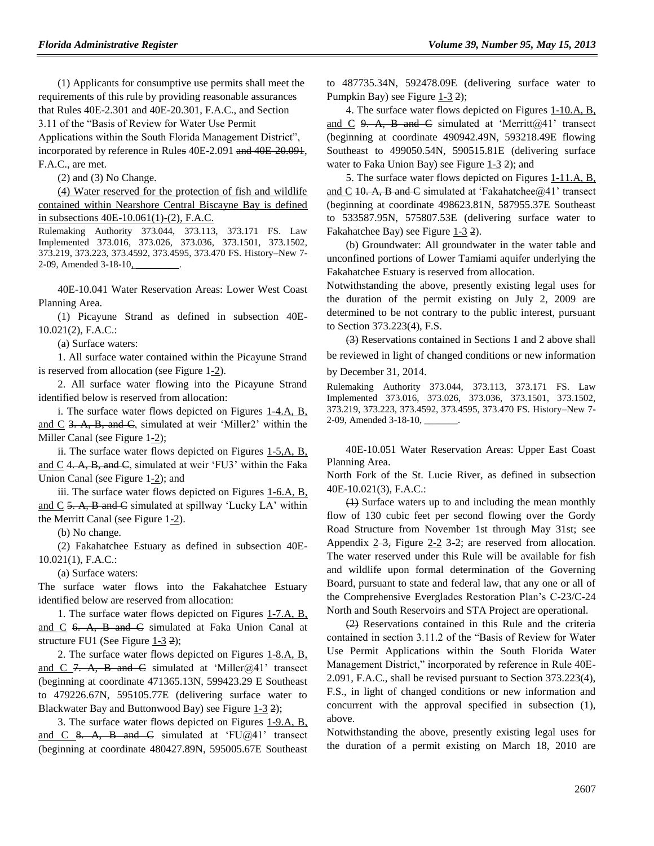(1) Applicants for consumptive use permits shall meet the requirements of this rule by providing reasonable assurances that Rules 40E-2.301 and 40E-20.301, F.A.C., and Section 3.11 of the "Basis of Review for Water Use Permit Applications within the South Florida Management District", incorporated by reference in Rules 40E-2.091 and 40E-20.091, F.A.C., are met.

(2) and (3) No Change.

(4) Water reserved for the protection of fish and wildlife contained within Nearshore Central Biscayne Bay is defined in subsections 40E-10.061(1)-(2), F.A.C.

Rulemaking Authority 373.044, 373.113, 373.171 FS. Law Implemented 373.016, 373.026, 373.036, 373.1501, 373.1502, 373.219, 373.223, 373.4592, 373.4595, 373.470 FS. History–New 7- 2-09, Amended 3-18-10,

40E-10.041 Water Reservation Areas: Lower West Coast Planning Area.

(1) Picayune Strand as defined in subsection 40E-10.021(2), F.A.C.:

(a) Surface waters:

1. All surface water contained within the Picayune Strand is reserved from allocation (see Figure 1-2).

2. All surface water flowing into the Picayune Strand identified below is reserved from allocation:

i. The surface water flows depicted on Figures 1-4.A, B, and C 3. A, B, and C, simulated at weir 'Miller2' within the Miller Canal (see Figure 1-2);

ii. The surface water flows depicted on Figures 1-5,A, B, and C 4. A, B, and  $\overline{C}$ , simulated at weir 'FU3' within the Faka Union Canal (see Figure 1-2); and

iii. The surface water flows depicted on Figures 1-6.A, B, and  $C$  5. A, B and  $C$  simulated at spillway 'Lucky LA' within the Merritt Canal (see Figure 1-2).

(b) No change.

(2) Fakahatchee Estuary as defined in subsection 40E-10.021(1), F.A.C.:

(a) Surface waters:

The surface water flows into the Fakahatchee Estuary identified below are reserved from allocation:

1. The surface water flows depicted on Figures 1-7.A, B, and C 6. A, B and C simulated at Faka Union Canal at structure FU1 (See Figure  $1-3$  2);

2. The surface water flows depicted on Figures 1-8.A, B, and C 7. A, B and C simulated at 'Miller $(a/4)$ ' transect (beginning at coordinate 471365.13N, 599423.29 E Southeast to 479226.67N, 595105.77E (delivering surface water to Blackwater Bay and Buttonwood Bay) see Figure 1-3 2);

3. The surface water flows depicted on Figures 1-9.A, B, and C 8. A, B and C simulated at 'FU@41' transect (beginning at coordinate 480427.89N, 595005.67E Southeast to 487735.34N, 592478.09E (delivering surface water to Pumpkin Bay) see Figure  $1-3$  2);

4. The surface water flows depicted on Figures 1-10.A, B, and C 9. A, B and C simulated at 'Merritt@41' transect (beginning at coordinate 490942.49N, 593218.49E flowing Southeast to 499050.54N, 590515.81E (delivering surface water to Faka Union Bay) see Figure  $1-3$  2); and

5. The surface water flows depicted on Figures 1-11.A, B, and C 10. A, B and C simulated at 'Fakahatchee $@/41$ ' transect (beginning at coordinate 498623.81N, 587955.37E Southeast to 533587.95N, 575807.53E (delivering surface water to Fakahatchee Bay) see Figure 1-3 2).

(b) Groundwater: All groundwater in the water table and unconfined portions of Lower Tamiami aquifer underlying the Fakahatchee Estuary is reserved from allocation.

Notwithstanding the above, presently existing legal uses for the duration of the permit existing on July 2, 2009 are determined to be not contrary to the public interest, pursuant to Section 373.223(4), F.S.

(3) Reservations contained in Sections 1 and 2 above shall be reviewed in light of changed conditions or new information

by December 31, 2014.

Rulemaking Authority 373.044, 373.113, 373.171 FS. Law Implemented 373.016, 373.026, 373.036, 373.1501, 373.1502, 373.219, 373.223, 373.4592, 373.4595, 373.470 FS. History–New 7- 2-09, Amended 3-18-10, \_\_\_\_\_\_\_.

40E-10.051 Water Reservation Areas: Upper East Coast Planning Area.

North Fork of the St. Lucie River, as defined in subsection 40E-10.021(3), F.A.C.:

(1) Surface waters up to and including the mean monthly flow of 130 cubic feet per second flowing over the Gordy Road Structure from November 1st through May 31st; see Appendix  $2\rightarrow 3$ , Figure 2-2  $3\rightarrow 2$ ; are reserved from allocation. The water reserved under this Rule will be available for fish and wildlife upon formal determination of the Governing Board, pursuant to state and federal law, that any one or all of the Comprehensive Everglades Restoration Plan's C-23/C-24 North and South Reservoirs and STA Project are operational.

(2) Reservations contained in this Rule and the criteria contained in section 3.11.2 of the "Basis of Review for Water Use Permit Applications within the South Florida Water Management District," incorporated by reference in Rule 40E-2.091, F.A.C., shall be revised pursuant to Section 373.223(4), F.S., in light of changed conditions or new information and concurrent with the approval specified in subsection (1), above.

Notwithstanding the above, presently existing legal uses for the duration of a permit existing on March 18, 2010 are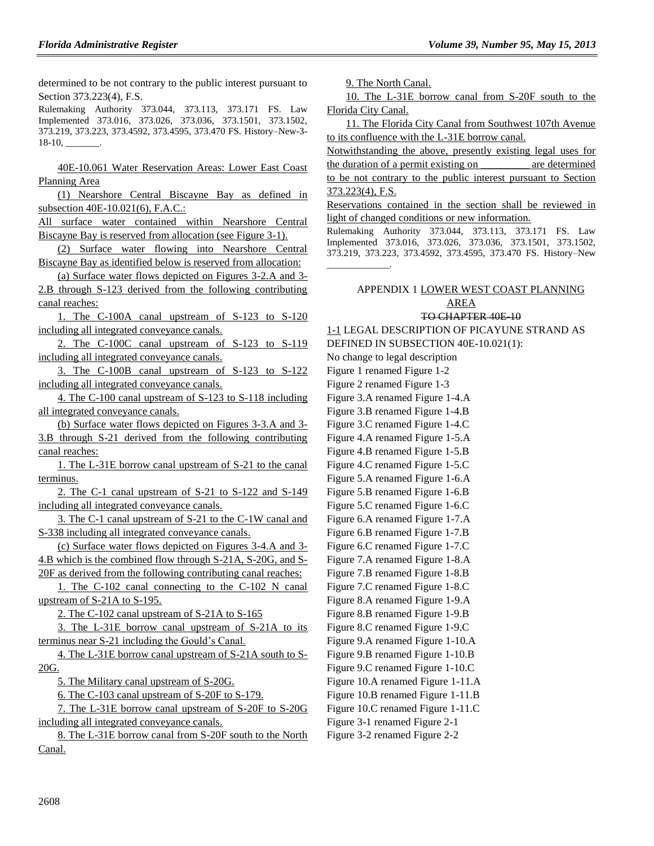determined to be not contrary to the public interest pursuant to Section 373.223(4), F.S.

Rulemaking Authority 373.044, 373.113, 373.171 FS. Law Implemented 373.016, 373.026, 373.036, 373.1501, 373.1502, 373.219, 373.223, 373.4592, 373.4595, 373.470 FS. History–New-3-  $18-10$ , \_\_\_\_\_\_

40E-10.061 Water Reservation Areas: Lower East Coast Planning Area

(1) Nearshore Central Biscayne Bay as defined in subsection 40E-10.021(6), F.A.C.:

All surface water contained within Nearshore Central Biscayne Bay is reserved from allocation (see Figure 3-1).

(2) Surface water flowing into Nearshore Central Biscayne Bay as identified below is reserved from allocation:

(a) Surface water flows depicted on Figures 3-2.A and 3- 2.B through S-123 derived from the following contributing canal reaches:

1. The C-100A canal upstream of S-123 to S-120 including all integrated conveyance canals.

2. The C-100C canal upstream of S-123 to S-119 including all integrated conveyance canals.

3. The C-100B canal upstream of S-123 to S-122 including all integrated conveyance canals.

4. The C-100 canal upstream of S-123 to S-118 including all integrated conveyance canals.

(b) Surface water flows depicted on Figures 3-3.A and 3- 3.B through S-21 derived from the following contributing canal reaches:

1. The L-31E borrow canal upstream of S-21 to the canal terminus.

2. The C-1 canal upstream of S-21 to S-122 and S-149 including all integrated conveyance canals.

3. The C-1 canal upstream of S-21 to the C-1W canal and S-338 including all integrated conveyance canals.

(c) Surface water flows depicted on Figures 3-4.A and 3- 4.B which is the combined flow through S-21A, S-20G, and S-20F as derived from the following contributing canal reaches:

1. The C-102 canal connecting to the C-102 N canal upstream of S-21A to S-195.

2. The C-102 canal upstream of S-21A to S-165

3. The L-31E borrow canal upstream of S-21A to its terminus near S-21 including the Gould's Canal.

4. The L-31E borrow canal upstream of S-21A south to S-20G.

5. The Military canal upstream of S-20G.

6. The C-103 canal upstream of S-20F to S-179.

7. The L-31E borrow canal upstream of S-20F to S-20G including all integrated conveyance canals.

8. The L-31E borrow canal from S-20F south to the North Canal.

9. The North Canal.

10. The L-31E borrow canal from S-20F south to the Florida City Canal.

11. The Florida City Canal from Southwest 107th Avenue to its confluence with the L-31E borrow canal.

Notwithstanding the above, presently existing legal uses for the duration of a permit existing on \_\_\_\_\_\_\_\_\_ are determined

to be not contrary to the public interest pursuant to Section 373.223(4), F.S.

Reservations contained in the section shall be reviewed in light of changed conditions or new information.

Rulemaking Authority 373.044, 373.113, 373.171 FS. Law Implemented 373.016, 373.026, 373.036, 373.1501, 373.1502, 373.219, 373.223, 373.4592, 373.4595, 373.470 FS. History–New \_\_\_\_\_\_\_\_\_\_\_\_\_.

## APPENDIX 1 LOWER WEST COAST PLANNING AREA

#### TO CHAPTER 40E-10

1-1 LEGAL DESCRIPTION OF PICAYUNE STRAND AS DEFINED IN SUBSECTION 40E-10.021(1):

No change to legal description

Figure 1 renamed Figure 1-2

Figure 2 renamed Figure 1-3

Figure 3.A renamed Figure 1-4.A

Figure 3.B renamed Figure 1-4.B

Figure 3.C renamed Figure 1-4.C

Figure 4.A renamed Figure 1-5.A

Figure 4.B renamed Figure 1-5.B Figure 4.C renamed Figure 1-5.C

- Figure 5.A renamed Figure 1-6.A
- Figure 5.B renamed Figure 1-6.B
- Figure 5.C renamed Figure 1-6.C
- Figure 6.A renamed Figure 1-7.A
- Figure 6.B renamed Figure 1-7.B
- Figure 6.C renamed Figure 1-7.C
- Figure 7.A renamed Figure 1-8.A
- Figure 7.B renamed Figure 1-8.B
- Figure 7.C renamed Figure 1-8.C
- Figure 8.A renamed Figure 1-9.A
- Figure 8.B renamed Figure 1-9.B Figure 8.C renamed Figure 1-9.C
- Figure 9.A renamed Figure 1-10.A
- Figure 9.B renamed Figure 1-10.B
- Figure 9.C renamed Figure 1-10.C
- Figure 10.A renamed Figure 1-11.A
- Figure 10.B renamed Figure 1-11.B
- Figure 10.C renamed Figure 1-11.C
- Figure 3-1 renamed Figure 2-1
- Figure 3-2 renamed Figure 2-2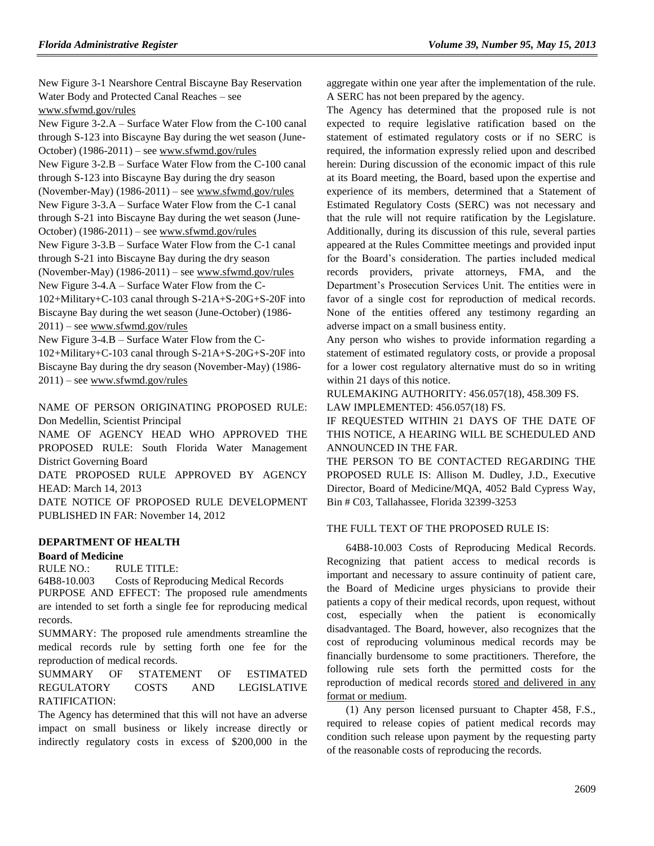New Figure 3-1 Nearshore Central Biscayne Bay Reservation Water Body and Protected Canal Reaches – see [www.sfwmd.gov/rules](http://www.sfwmd.gov/rules)

New Figure 3-2.A – Surface Water Flow from the C-100 canal through S-123 into Biscayne Bay during the wet season (June-October) (1986-2011) – see [www.sfwmd.gov/rules](http://www.sfwmd.gov/rules) New Figure 3-2.B – Surface Water Flow from the C-100 canal through S-123 into Biscayne Bay during the dry season (November-May) (1986-2011) – see [www.sfwmd.gov/rules](http://www.sfwmd.gov/rules) New Figure 3-3.A – Surface Water Flow from the C-1 canal through S-21 into Biscayne Bay during the wet season (June-October) (1986-2011) – see [www.sfwmd.gov/rules](http://www.sfwmd.gov/rules) New Figure 3-3.B – Surface Water Flow from the C-1 canal through S-21 into Biscayne Bay during the dry season (November-May) (1986-2011) – see [www.sfwmd.gov/rules](http://www.sfwmd.gov/rules) New Figure 3-4.A – Surface Water Flow from the C-102+Military+C-103 canal through S-21A+S-20G+S-20F into Biscayne Bay during the wet season (June-October) (1986- 2011) – se[e www.sfwmd.gov/rules](http://www.sfwmd.gov/rules)

New Figure 3-4.B – Surface Water Flow from the C-102+Military+C-103 canal through S-21A+S-20G+S-20F into Biscayne Bay during the dry season (November-May) (1986- 2011) – se[e www.sfwmd.gov/rules](http://www.sfwmd.gov/rules)

NAME OF PERSON ORIGINATING PROPOSED RULE: Don Medellin, Scientist Principal

NAME OF AGENCY HEAD WHO APPROVED THE PROPOSED RULE: South Florida Water Management District Governing Board

DATE PROPOSED RULE APPROVED BY AGENCY HEAD: March 14, 2013

DATE NOTICE OF PROPOSED RULE DEVELOPMENT PUBLISHED IN FAR: November 14, 2012

## **[DEPARTMENT OF HEALTH](https://www.flrules.org/gateway/department.asp?id=64)**

### **[Board of Medicine](https://www.flrules.org/gateway/organization.asp?id=331)**

RULE NO.: RULE TITLE:

[64B8-10.003](https://www.flrules.org/gateway/ruleNo.asp?id=64B8-10.003) Costs of Reproducing Medical Records

PURPOSE AND EFFECT: The proposed rule amendments are intended to set forth a single fee for reproducing medical records.

SUMMARY: The proposed rule amendments streamline the medical records rule by setting forth one fee for the reproduction of medical records.

SUMMARY OF STATEMENT OF ESTIMATED REGULATORY COSTS AND LEGISLATIVE RATIFICATION:

The Agency has determined that this will not have an adverse impact on small business or likely increase directly or indirectly regulatory costs in excess of \$200,000 in the

aggregate within one year after the implementation of the rule. A SERC has not been prepared by the agency.

The Agency has determined that the proposed rule is not expected to require legislative ratification based on the statement of estimated regulatory costs or if no SERC is required, the information expressly relied upon and described herein: During discussion of the economic impact of this rule at its Board meeting, the Board, based upon the expertise and experience of its members, determined that a Statement of Estimated Regulatory Costs (SERC) was not necessary and that the rule will not require ratification by the Legislature. Additionally, during its discussion of this rule, several parties appeared at the Rules Committee meetings and provided input for the Board's consideration. The parties included medical records providers, private attorneys, FMA, and the Department's Prosecution Services Unit. The entities were in favor of a single cost for reproduction of medical records. None of the entities offered any testimony regarding an adverse impact on a small business entity.

Any person who wishes to provide information regarding a statement of estimated regulatory costs, or provide a proposal for a lower cost regulatory alternative must do so in writing within 21 days of this notice.

RULEMAKING AUTHORITY: [456.057\(18\),](https://www.flrules.org/gateway/statute.asp?id=456.057(18)) [458.309 FS.](https://www.flrules.org/gateway/statute.asp?id=%20458.309%20FS.) LAW IMPLEMENTED: [456.057\(18\) FS.](https://www.flrules.org/gateway/statute.asp?id=456.057(18)%20FS.)

IF REQUESTED WITHIN 21 DAYS OF THE DATE OF THIS NOTICE, A HEARING WILL BE SCHEDULED AND ANNOUNCED IN THE FAR.

THE PERSON TO BE CONTACTED REGARDING THE PROPOSED RULE IS: Allison M. Dudley, J.D., Executive Director, Board of Medicine/MQA, 4052 Bald Cypress Way, Bin # C03, Tallahassee, Florida 32399-3253

## THE FULL TEXT OF THE PROPOSED RULE IS:

[64B8-10.003](https://www.flrules.org/gateway/ruleNo.asp?id=64B8-10.003) Costs of Reproducing Medical Records. Recognizing that patient access to medical records is important and necessary to assure continuity of patient care, the Board of Medicine urges physicians to provide their patients a copy of their medical records, upon request, without cost, especially when the patient is economically disadvantaged. The Board, however, also recognizes that the cost of reproducing voluminous medical records may be financially burdensome to some practitioners. Therefore, the following rule sets forth the permitted costs for the reproduction of medical records stored and delivered in any format or medium.

(1) Any person licensed pursuant to Chapter 458, F.S., required to release copies of patient medical records may condition such release upon payment by the requesting party of the reasonable costs of reproducing the records.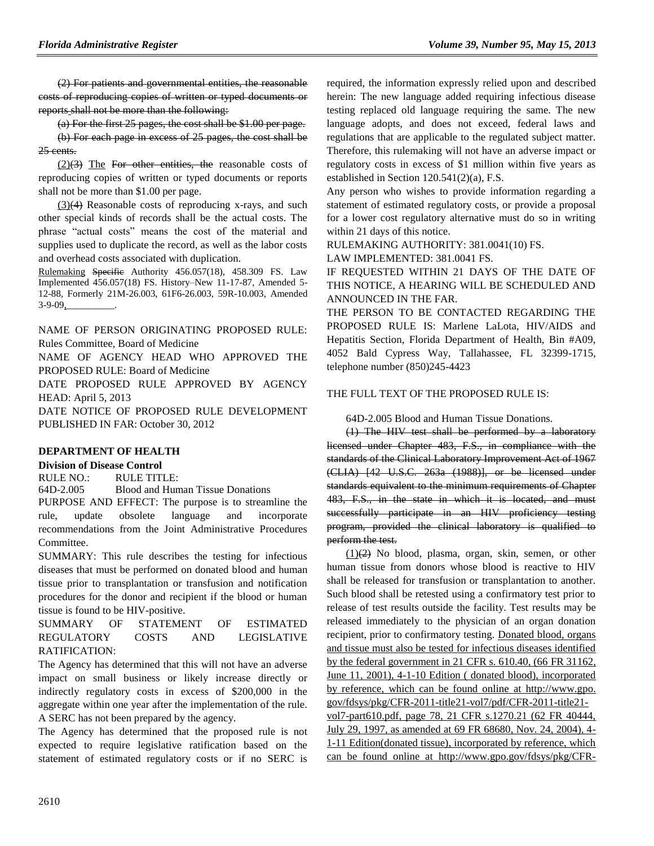(2) For patients and governmental entities, the reasonable costs of reproducing copies of written or typed documents or reports shall not be more than the following:

(a) For the first 25 pages, the cost shall be \$1.00 per page. (b) For each page in excess of 25 pages, the cost shall be 25 cents.

 $(2)(3)$  The For other entities, the reasonable costs of reproducing copies of written or typed documents or reports shall not be more than \$1.00 per page.

(3)(4) Reasonable costs of reproducing x-rays, and such other special kinds of records shall be the actual costs. The phrase "actual costs" means the cost of the material and supplies used to duplicate the record, as well as the labor costs and overhead costs associated with duplication.

Rulemaking Specific Authority 456.057(18), 458.309 FS. Law Implemented 456.057(18) FS. History–New 11-17-87, Amended 5- 12-88, Formerly 21M-26.003, 61F6-26.003, 59R-10.003, Amended 3-9-09*,\_\_\_\_\_\_\_\_\_\_*.

NAME OF PERSON ORIGINATING PROPOSED RULE: Rules Committee, Board of Medicine

NAME OF AGENCY HEAD WHO APPROVED THE PROPOSED RULE: Board of Medicine

DATE PROPOSED RULE APPROVED BY AGENCY HEAD: April 5, 2013

DATE NOTICE OF PROPOSED RULE DEVELOPMENT PUBLISHED IN FAR: October 30, 2012

### **[DEPARTMENT OF HEALTH](https://www.flrules.org/gateway/department.asp?id=64)**

### **[Division of Disease Control](https://www.flrules.org/gateway/organization.asp?id=334)**

RULE NO.: RULE TITLE:

[64D-2.005](https://www.flrules.org/gateway/ruleNo.asp?id=64D-2.005) Blood and Human Tissue Donations

PURPOSE AND EFFECT: The purpose is to streamline the rule, update obsolete language and incorporate recommendations from the Joint Administrative Procedures Committee.

SUMMARY: This rule describes the testing for infectious diseases that must be performed on donated blood and human tissue prior to transplantation or transfusion and notification procedures for the donor and recipient if the blood or human tissue is found to be HIV-positive.

## SUMMARY OF STATEMENT OF ESTIMATED REGULATORY COSTS AND LEGISLATIVE RATIFICATION:

The Agency has determined that this will not have an adverse impact on small business or likely increase directly or indirectly regulatory costs in excess of \$200,000 in the aggregate within one year after the implementation of the rule. A SERC has not been prepared by the agency.

The Agency has determined that the proposed rule is not expected to require legislative ratification based on the statement of estimated regulatory costs or if no SERC is

required, the information expressly relied upon and described herein: The new language added requiring infectious disease testing replaced old language requiring the same. The new language adopts, and does not exceed, federal laws and regulations that are applicable to the regulated subject matter. Therefore, this rulemaking will not have an adverse impact or regulatory costs in excess of \$1 million within five years as established in Section 120.541(2)(a), F.S.

Any person who wishes to provide information regarding a statement of estimated regulatory costs, or provide a proposal for a lower cost regulatory alternative must do so in writing within 21 days of this notice.

RULEMAKING AUTHORITY: [381.0041\(10\) FS.](https://www.flrules.org/gateway/cfr.asp?id=381.0041(10),%20F.S)

LAW IMPLEMENTED: [381.0041 FS.](https://www.flrules.org/gateway/statute.asp?id=381.0041)

IF REQUESTED WITHIN 21 DAYS OF THE DATE OF THIS NOTICE, A HEARING WILL BE SCHEDULED AND ANNOUNCED IN THE FAR.

THE PERSON TO BE CONTACTED REGARDING THE PROPOSED RULE IS: Marlene LaLota, HIV/AIDS and Hepatitis Section, Florida Department of Health, Bin #A09, 4052 Bald Cypress Way, Tallahassee, FL 32399-1715, telephone number (850)245-4423

## THE FULL TEXT OF THE PROPOSED RULE IS:

64D-2.005 Blood and Human Tissue Donations.

(1) The HIV test shall be performed by a laboratory licensed under Chapter 483, F.S., in compliance with the standards of the Clinical Laboratory Improvement Act of 1967 (CLIA) [42 U.S.C. 263a (1988)], or be licensed under standards equivalent to the minimum requirements of Chapter 483, F.S., in the state in which it is located, and must successfully participate in an HIV proficiency testing program, provided the clinical laboratory is qualified to perform the test.

 $(1)(2)$  No blood, plasma, organ, skin, semen, or other human tissue from donors whose blood is reactive to HIV shall be released for transfusion or transplantation to another. Such blood shall be retested using a confirmatory test prior to release of test results outside the facility. Test results may be released immediately to the physician of an organ donation recipient, prior to confirmatory testing. Donated blood, organs and tissue must also be tested for infectious diseases identified by the federal government in 21 CFR s. 610.40, (66 FR 31162, June 11, 2001), 4-1-10 Edition ( donated blood), incorporated by reference, which can be found online at http://www.gpo. gov/fdsys/pkg/CFR-2011-title21-vol7/pdf/CFR-2011-title21 vol7-part610.pdf, page 78, 21 CFR s.1270.21 (62 FR 40444, July 29, 1997, as amended at 69 FR 68680, Nov. 24, 2004), 4- 1-11 Edition(donated tissue), incorporated by reference, which can be found online at [http://www.gpo.gov/fdsys/pkg/CFR-](http://www.gpo.gov/fdsys/pkg/CFR-2011-title21-vol8/pdf/CFR-2011-title21-vol8-part1270.pdf)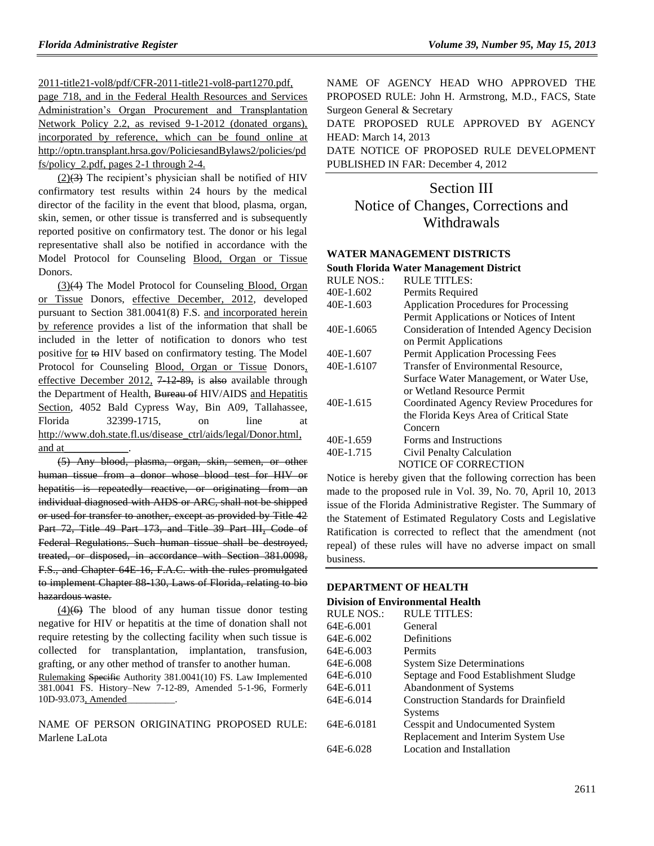[2011-title21-vol8/pdf/CFR-2011-title21-vol8-part1270.pdf,](http://www.gpo.gov/fdsys/pkg/CFR-2011-title21-vol8/pdf/CFR-2011-title21-vol8-part1270.pdf)

page 718, and in the Federal Health Resources and Services Administration's Organ Procurement and Transplantation Network Policy 2.2, as revised 9-1-2012 (donated organs), incorporated by reference, which can be found online at http://optn.transplant.hrsa.gov/PoliciesandBylaws2/policies/pd fs/policy\_2.pdf, pages 2-1 through 2-4.

 $(2)(3)$  The recipient's physician shall be notified of HIV confirmatory test results within 24 hours by the medical director of the facility in the event that blood, plasma, organ, skin, semen, or other tissue is transferred and is subsequently reported positive on confirmatory test. The donor or his legal representative shall also be notified in accordance with the Model Protocol for Counseling Blood, Organ or Tissue Donors.

(3)(4) The Model Protocol for Counseling Blood, Organ or Tissue Donors, effective December, 2012, developed pursuant to Section 381.0041(8) F.S. and incorporated herein by reference provides a list of the information that shall be included in the letter of notification to donors who test positive for to HIV based on confirmatory testing. The Model Protocol for Counseling Blood, Organ or Tissue Donors, effective December 2012,  $7\overline{+12\overline{89}}$ , is also available through the Department of Health, Bureau of HIV/AIDS and Hepatitis Section, 4052 Bald Cypress Way, Bin A09, Tallahassee, Florida 32399-1715, on line at [http://www.doh.state.fl.us/disease\\_ctrl/aids/legal/Donor.html,](http://www.doh.state.fl.us/disease_ctrl/aids/legal/Donor.html) and at

(5) Any blood, plasma, organ, skin, semen, or other human tissue from a donor whose blood test for HIV or hepatitis is repeatedly reactive, or originating from an individual diagnosed with AIDS or ARC, shall not be shipped or used for transfer to another, except as provided by Title 42 Part 72, Title 49 Part 173, and Title 39 Part III, Code of Federal Regulations. Such human tissue shall be destroyed, treated, or disposed, in accordance with Section 381.0098, F.S., and Chapter 64E-16, F.A.C. with the rules promulgated to implement Chapter 88-130, Laws of Florida, relating to bio hazardous waste.

 $(4)(6)$  The blood of any human tissue donor testing negative for HIV or hepatitis at the time of donation shall not require retesting by the collecting facility when such tissue is collected for transplantation, implantation, transfusion, grafting, or any other method of transfer to another human. Rulemaking Specific Authority 381.0041(10) FS. Law Implemented 381.0041 FS. History–New 7-12-89, Amended 5-1-96, Formerly 10D-93.073, Amended\_\_\_\_\_\_\_\_\_\_.

NAME OF PERSON ORIGINATING PROPOSED RULE: Marlene LaLota

NAME OF AGENCY HEAD WHO APPROVED THE PROPOSED RULE: John H. Armstrong, M.D., FACS, State Surgeon General & Secretary

DATE PROPOSED RULE APPROVED BY AGENCY HEAD: March 14, 2013

DATE NOTICE OF PROPOSED RULE DEVELOPMENT PUBLISHED IN FAR: December 4, 2012

# Section III Notice of Changes, Corrections and **Withdrawals**

#### **[WATER MANAGEMENT DISTRICTS](https://www.flrules.org/gateway/department.asp?id=40)**

#### **[South Florida Water Management District](https://www.flrules.org/gateway/organization.asp?id=124)**

| <b>RULE NOS.:</b> | <b>RULE TITLES:</b>                          |
|-------------------|----------------------------------------------|
| 40E-1.602         | Permits Required                             |
| 40E-1.603         | <b>Application Procedures for Processing</b> |
|                   | Permit Applications or Notices of Intent     |
| 40E-1.6065        | Consideration of Intended Agency Decision    |
|                   | on Permit Applications                       |
| 40E-1.607         | <b>Permit Application Processing Fees</b>    |
| 40E-1.6107        | Transfer of Environmental Resource,          |
|                   | Surface Water Management, or Water Use,      |
|                   | or Wetland Resource Permit                   |
| 40E-1.615         | Coordinated Agency Review Procedures for     |
|                   | the Florida Keys Area of Critical State      |
|                   | Concern                                      |
| 40E-1.659         | Forms and Instructions                       |
| 40E-1.715         | Civil Penalty Calculation                    |
|                   | <b>NOTICE OF CORRECTION</b>                  |

Notice is hereby given that the following correction has been made to the proposed rule in Vol. 39, No. 70, April 10, 2013 issue of the Florida Administrative Register. The Summary of the Statement of Estimated Regulatory Costs and Legislative Ratification is corrected to reflect that the amendment (not repeal) of these rules will have no adverse impact on small business.

## **[DEPARTMENT OF HEALTH](https://www.flrules.org/gateway/department.asp?id=64)**

#### **[Division of Environmental Health](https://www.flrules.org/gateway/organization.asp?id=335)**

| <b>RULE TITLES:</b>                          |
|----------------------------------------------|
| General                                      |
| Definitions                                  |
| Permits                                      |
| <b>System Size Determinations</b>            |
| Septage and Food Establishment Sludge        |
| Abandonment of Systems                       |
| <b>Construction Standards for Drainfield</b> |
| Systems                                      |
| Cesspit and Undocumented System              |
| Replacement and Interim System Use           |
| Location and Installation                    |
|                                              |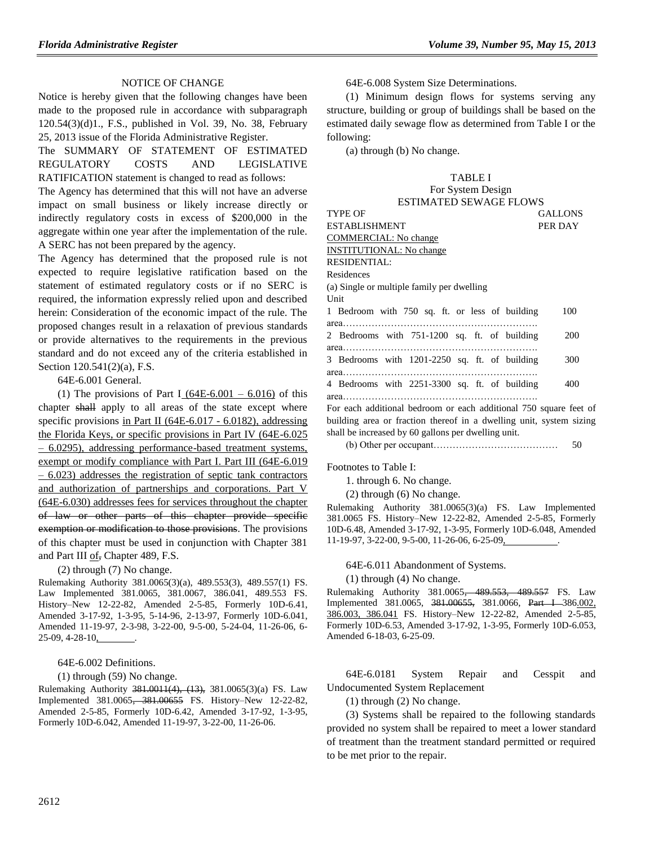### NOTICE OF CHANGE

Notice is hereby given that the following changes have been made to the proposed rule in accordance with subparagraph 120.54(3)(d)1., F.S., published in Vol. 39, No. 38, February 25, 2013 issue of the Florida Administrative Register.

The SUMMARY OF STATEMENT OF ESTIMATED REGULATORY COSTS AND LEGISLATIVE RATIFICATION statement is changed to read as follows:

The Agency has determined that this will not have an adverse impact on small business or likely increase directly or indirectly regulatory costs in excess of \$200,000 in the aggregate within one year after the implementation of the rule. A SERC has not been prepared by the agency.

The Agency has determined that the proposed rule is not expected to require legislative ratification based on the statement of estimated regulatory costs or if no SERC is required, the information expressly relied upon and described herein: Consideration of the economic impact of the rule. The proposed changes result in a relaxation of previous standards or provide alternatives to the requirements in the previous standard and do not exceed any of the criteria established in Section 120.541(2)(a), F.S.

64E-6.001 General.

(1) The provisions of Part I  $(64E-6.001 - 6.016)$  of this chapter shall apply to all areas of the state except where specific provisions in Part II (64E-6.017 - 6.0182), addressing the Florida Keys, or specific provisions in Part IV (64E-6.025 – 6.0295), addressing performance-based treatment systems, exempt or modify compliance with Part I. Part III (64E-6.019) – 6.023) addresses the registration of septic tank contractors and authorization of partnerships and corporations. Part V (64E-6.030) addresses fees for services throughout the chapter of law or other parts of this chapter provide specific exemption or modification to those provisions. The provisions of this chapter must be used in conjunction with Chapter 381 and Part III of, Chapter 489, F.S.

(2) through (7) No change.

Rulemaking Authority 381.0065(3)(a), 489.553(3), 489.557(1) FS. Law Implemented 381.0065, 381.0067, 386.041, 489.553 FS. History–New 12-22-82, Amended 2-5-85, Formerly 10D-6.41, Amended 3-17-92, 1-3-95, 5-14-96, 2-13-97, Formerly 10D-6.041, Amended 11-19-97, 2-3-98, 3-22-00, 9-5-00, 5-24-04, 11-26-06, 6- 25-09, 4-28-10, .

#### 64E-6.002 Definitions.

(1) through (59) No change.

Rulemaking Authority 381.0011(4), (13), 381.0065(3)(a) FS. Law Implemented 381.0065, 381.00655 FS. History–New 12-22-82, Amended 2-5-85, Formerly 10D-6.42, Amended 3-17-92, 1-3-95, Formerly 10D-6.042, Amended 11-19-97, 3-22-00, 11-26-06.

64E-6.008 System Size Determinations.

(1) Minimum design flows for systems serving any structure, building or group of buildings shall be based on the estimated daily sewage flow as determined from Table I or the following:

(a) through (b) No change.

#### TABLE I For System Design

| $1.91$ by section bearing $\mu$                |                |
|------------------------------------------------|----------------|
| <b>ESTIMATED SEWAGE FLOWS</b>                  |                |
| <b>TYPE OF</b>                                 | <b>GALLONS</b> |
| <b>ESTABLISHMENT</b>                           | PER DAY        |
| COMMERCIAL: No change                          |                |
| <b>INSTITUTIONAL: No change</b>                |                |
| <b>RESIDENTIAL:</b>                            |                |
| Residences                                     |                |
| (a) Single or multiple family per dwelling     |                |
| Unit                                           |                |
| 1 Bedroom with 750 sq. ft. or less of building | 100            |
|                                                |                |
| 2 Bedrooms with 751-1200 sq. ft. of building   | 200            |
|                                                |                |
| 3 Bedrooms with 1201-2250 sq. ft. of building  | 300            |
|                                                |                |
| 4 Bedrooms with 2251-3300 sq. ft. of building  | 400            |
|                                                |                |
|                                                |                |

For each additional bedroom or each additional 750 square feet of building area or fraction thereof in a dwelling unit, system sizing shall be increased by 60 gallons per dwelling unit.

(b) Other per occupant………………………………… 50

Footnotes to Table I:

1. through 6. No change.

(2) through (6) No change.

Rulemaking Authority 381.0065(3)(a) FS. Law Implemented 381.0065 FS. History–New 12-22-82, Amended 2-5-85, Formerly 10D-6.48, Amended 3-17-92, 1-3-95, Formerly 10D-6.048, Amended 11-19-97, 3-22-00, 9-5-00, 11-26-06, 6-25-09,

64E-6.011 Abandonment of Systems.

(1) through (4) No change.

Rulemaking Authority 381.0065, 489.553, 489.557 FS. Law Implemented 381.0065, 381.00655, 381.0066, Part I-386.002, 386.003, 386.041 FS. History–New 12-22-82, Amended 2-5-85, Formerly 10D-6.53, Amended 3-17-92, 1-3-95, Formerly 10D-6.053, Amended 6-18-03, 6-25-09.

64E-6.0181 System Repair and Cesspit and Undocumented System Replacement

(1) through (2) No change.

(3) Systems shall be repaired to the following standards provided no system shall be repaired to meet a lower standard of treatment than the treatment standard permitted or required to be met prior to the repair.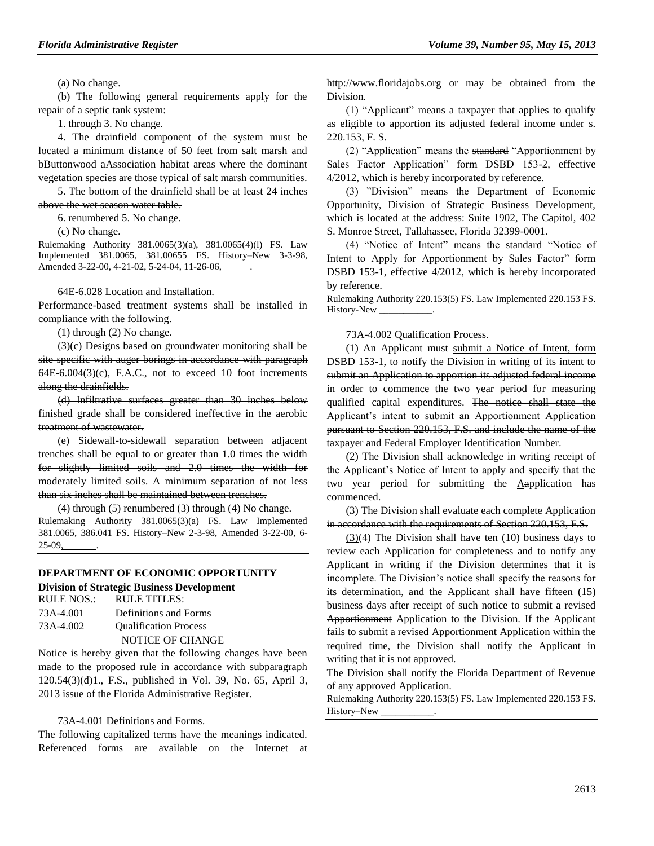(a) No change.

(b) The following general requirements apply for the repair of a septic tank system:

1. through 3. No change.

4. The drainfield component of the system must be located a minimum distance of 50 feet from salt marsh and bButtonwood aAssociation habitat areas where the dominant vegetation species are those typical of salt marsh communities.

5. The bottom of the drainfield shall be at least 24 inches above the wet season water table.

6. renumbered 5. No change.

(c) No change.

Rulemaking Authority 381.0065(3)(a), 381.0065(4)(l) FS. Law Implemented 381.0065, 381.00655 FS. History–New 3-3-98, Amended 3-22-00, 4-21-02, 5-24-04, 11-26-06,

64E-6.028 Location and Installation.

Performance-based treatment systems shall be installed in compliance with the following.

(1) through (2) No change.

(3)(c) Designs based on groundwater monitoring shall be site specific with auger borings in accordance with paragraph 64E-6.004(3)(c), F.A.C., not to exceed 10 foot increments along the drainfields.

(d) Infiltrative surfaces greater than 30 inches below finished grade shall be considered ineffective in the aerobic treatment of wastewater.

(e) Sidewall-to-sidewall separation between adjacent trenches shall be equal to or greater than 1.0 times the width for slightly limited soils and 2.0 times the width for moderately limited soils. A minimum separation of not less than six inches shall be maintained between trenches.

(4) through (5) renumbered (3) through (4) No change. Rulemaking Authority 381.0065(3)(a) FS. Law Implemented 381.0065, 386.041 FS. History–New 2-3-98, Amended 3-22-00, 6- 25-09, .

## **[DEPARTMENT OF ECONOMIC OPPORTUNITY](https://www.flrules.org/gateway/department.asp?id=73)**

## **[Division of Strategic Business Development](https://www.flrules.org/gateway/organization.asp?id=1064)**

| RULE NOS.: | RULE TITLES:                 |
|------------|------------------------------|
| 73A-4.001  | Definitions and Forms        |
| 73A-4.002  | <b>Oualification Process</b> |
|            | NOTICE OF CHANGE             |

Notice is hereby given that the following changes have been made to the proposed rule in accordance with subparagraph 120.54(3)(d)1., F.S., published in Vol. 39, No. 65, April 3, 2013 issue of the Florida Administrative Register.

#### 73A-4.001 Definitions and Forms.

The following capitalized terms have the meanings indicated. Referenced forms are available on the Internet at http:/[/www.floridajobs.org](http://www.floridajobs.org/) or may be obtained from the Division.

(1) "Applicant" means a taxpayer that applies to qualify as eligible to apportion its adjusted federal income under s. 220.153, F. S.

(2) "Application" means the standard "Apportionment by Sales Factor Application" form DSBD 153-2, effective 4/2012, which is hereby incorporated by reference.

(3) "Division" means the Department of Economic Opportunity, Division of Strategic Business Development, which is located at the address: Suite 1902, The Capitol, 402 S. Monroe Street, Tallahassee, Florida 32399-0001.

(4) "Notice of Intent" means the standard "Notice of Intent to Apply for Apportionment by Sales Factor" form DSBD 153-1, effective 4/2012, which is hereby incorporated by reference.

Rulemaking Authority 220.153(5) FS. Law Implemented 220.153 FS. History-New \_\_\_\_\_\_\_\_\_\_\_.

73A-4.002 Qualification Process.

(1) An Applicant must submit a Notice of Intent, form DSBD 153-1, to notify the Division in writing of its intent to submit an Application to apportion its adjusted federal income in order to commence the two year period for measuring qualified capital expenditures. The notice shall state the Applicant's intent to submit an Apportionment Application pursuant to Section 220.153, F.S. and include the name of the taxpayer and Federal Employer Identification Number.

(2) The Division shall acknowledge in writing receipt of the Applicant's Notice of Intent to apply and specify that the two year period for submitting the Aapplication has commenced.

(3) The Division shall evaluate each complete Application in accordance with the requirements of Section 220.153, F.S.

 $(3)(4)$  The Division shall have ten  $(10)$  business days to review each Application for completeness and to notify any Applicant in writing if the Division determines that it is incomplete. The Division's notice shall specify the reasons for its determination, and the Applicant shall have fifteen (15) business days after receipt of such notice to submit a revised Apportionment Application to the Division. If the Applicant fails to submit a revised Apportionment Application within the required time, the Division shall notify the Applicant in writing that it is not approved.

The Division shall notify the Florida Department of Revenue of any approved Application.

Rulemaking Authority 220.153(5) FS. Law Implemented 220.153 FS. History-New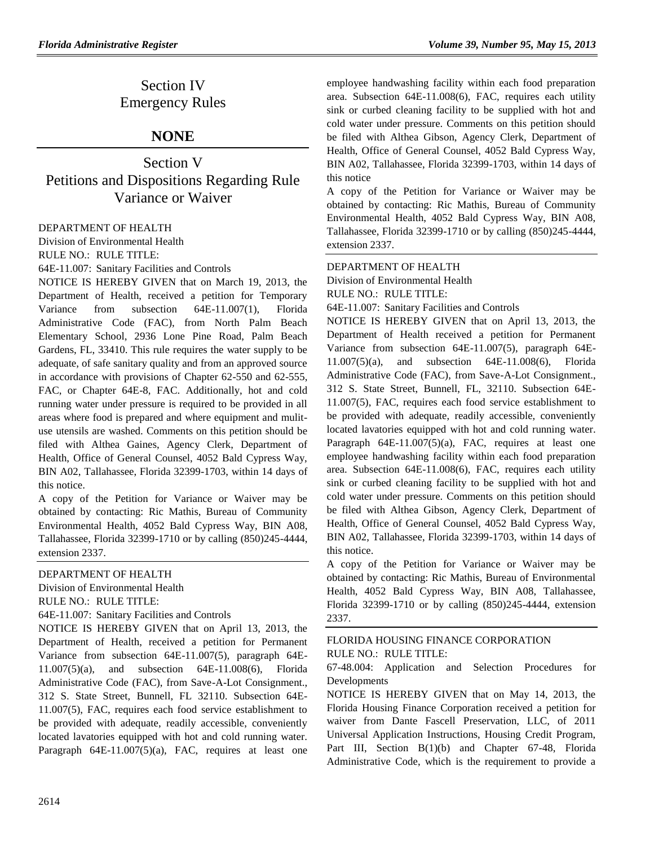## Section IV Emergency Rules

## **NONE**

Section V Petitions and Dispositions Regarding Rule Variance or Waiver

[DEPARTMENT OF HEALTH](https://www.flrules.org/gateway/department.asp?id=64)

[Division of Environmental Health](https://www.flrules.org/gateway/organization.asp?id=335) RULE NO.: RULE TITLE:

[64E-11.007:](https://www.flrules.org/gateway/ruleNo.asp?id=64E-11.007) Sanitary Facilities and Controls

NOTICE IS HEREBY GIVEN that on March 19, 2013, the Department of Health, received a petition for Temporary Variance from subsection 64E-11.007(1), Florida Administrative Code (FAC), from North Palm Beach Elementary School, 2936 Lone Pine Road, Palm Beach Gardens, FL, 33410. This rule requires the water supply to be adequate, of safe sanitary quality and from an approved source in accordance with provisions of Chapter 62-550 and 62-555, FAC, or Chapter 64E-8, FAC. Additionally, hot and cold running water under pressure is required to be provided in all areas where food is prepared and where equipment and mulituse utensils are washed. Comments on this petition should be filed with Althea Gaines, Agency Clerk, Department of Health, Office of General Counsel, 4052 Bald Cypress Way, BIN A02, Tallahassee, Florida 32399-1703, within 14 days of this notice.

A copy of the Petition for Variance or Waiver may be obtained by contacting: Ric Mathis, Bureau of Community Environmental Health, 4052 Bald Cypress Way, BIN A08, Tallahassee, Florida 32399-1710 or by calling (850)245-4444, extension 2337.

## [DEPARTMENT OF HEALTH](https://www.flrules.org/gateway/department.asp?id=64)

[Division of Environmental Health](https://www.flrules.org/gateway/organization.asp?id=335)

RULE NO.: RULE TITLE:

[64E-11.007:](https://www.flrules.org/gateway/ruleNo.asp?id=64E-11.007) Sanitary Facilities and Controls

NOTICE IS HEREBY GIVEN that on April 13, 2013, the Department of Health, received a petition for Permanent Variance from subsection 64E-11.007(5), paragraph 64E-11.007(5)(a), and subsection 64E-11.008(6), Florida Administrative Code (FAC), from Save-A-Lot Consignment., 312 S. State Street, Bunnell, FL 32110. Subsection 64E-11.007(5), FAC, requires each food service establishment to be provided with adequate, readily accessible, conveniently located lavatories equipped with hot and cold running water. Paragraph 64E-11.007(5)(a), FAC, requires at least one

employee handwashing facility within each food preparation area. Subsection 64E-11.008(6), FAC, requires each utility sink or curbed cleaning facility to be supplied with hot and cold water under pressure. Comments on this petition should be filed with Althea Gibson, Agency Clerk, Department of Health, Office of General Counsel, 4052 Bald Cypress Way, BIN A02, Tallahassee, Florida 32399-1703, within 14 days of this notice

A copy of the Petition for Variance or Waiver may be obtained by contacting: Ric Mathis, Bureau of Community Environmental Health, 4052 Bald Cypress Way, BIN A08, Tallahassee, Florida 32399-1710 or by calling (850)245-4444, extension 2337.

## [DEPARTMENT OF HEALTH](https://www.flrules.org/gateway/department.asp?id=64)

[Division of Environmental Health](https://www.flrules.org/gateway/organization.asp?id=335)

RULE NO.: RULE TITLE:

[64E-11.007:](https://www.flrules.org/gateway/ruleNo.asp?id=64E-11.007) Sanitary Facilities and Controls

NOTICE IS HEREBY GIVEN that on April 13, 2013, the Department of Health received a petition for Permanent Variance from subsection 64E-11.007(5), paragraph 64E-11.007(5)(a), and subsection 64E-11.008(6), Florida Administrative Code (FAC), from Save-A-Lot Consignment., 312 S. State Street, Bunnell, FL, 32110. Subsection 64E-11.007(5), FAC, requires each food service establishment to be provided with adequate, readily accessible, conveniently located lavatories equipped with hot and cold running water. Paragraph  $64E-11.007(5)(a)$ , FAC, requires at least one employee handwashing facility within each food preparation area. Subsection 64E-11.008(6), FAC, requires each utility sink or curbed cleaning facility to be supplied with hot and cold water under pressure. Comments on this petition should be filed with Althea Gibson, Agency Clerk, Department of Health, Office of General Counsel, 4052 Bald Cypress Way, BIN A02, Tallahassee, Florida 32399-1703, within 14 days of this notice.

A copy of the Petition for Variance or Waiver may be obtained by contacting: Ric Mathis, Bureau of Environmental Health, 4052 Bald Cypress Way, BIN A08, Tallahassee, Florida 32399-1710 or by calling (850)245-4444, extension 2337.

## [FLORIDA HOUSING FINANCE CORPORATION](https://www.flrules.org/gateway/department.asp?id=67) RULE NO.: RULE TITLE:

[67-48.004:](https://www.flrules.org/gateway/ruleNo.asp?id=67-48.004) Application and Selection Procedures for Developments

NOTICE IS HEREBY GIVEN that on May 14, 2013, the Florida Housing Finance Corporation received a petition for waiver from Dante Fascell Preservation, LLC, of 2011 Universal Application Instructions, Housing Credit Program, Part III, Section B(1)(b) and Chapter 67-48, Florida Administrative Code, which is the requirement to provide a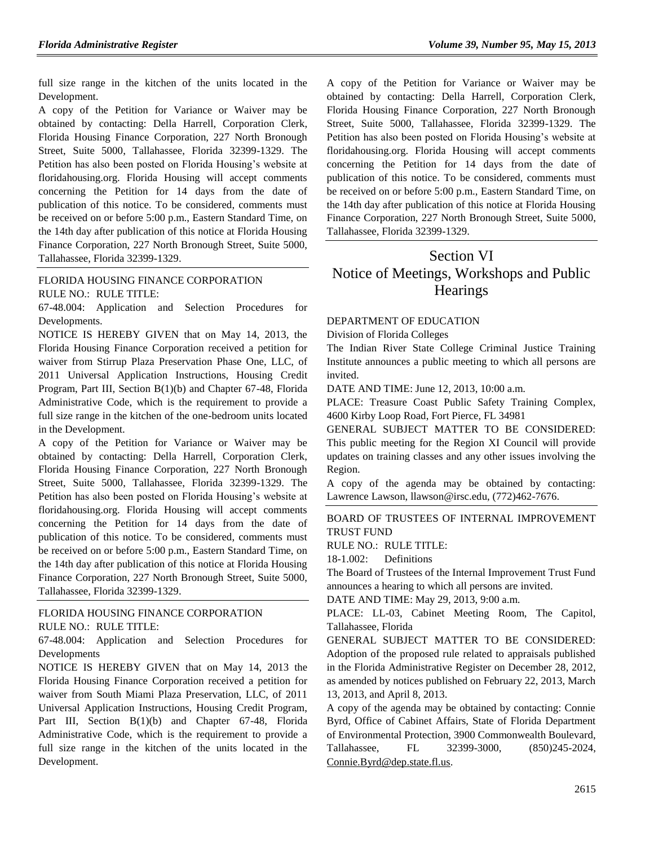full size range in the kitchen of the units located in the Development.

A copy of the Petition for Variance or Waiver may be obtained by contacting: Della Harrell, Corporation Clerk, Florida Housing Finance Corporation, 227 North Bronough Street, Suite 5000, Tallahassee, Florida 32399-1329. The Petition has also been posted on Florida Housing's website at floridahousing.org. Florida Housing will accept comments concerning the Petition for 14 days from the date of publication of this notice. To be considered, comments must be received on or before 5:00 p.m., Eastern Standard Time, on the 14th day after publication of this notice at Florida Housing Finance Corporation, 227 North Bronough Street, Suite 5000, Tallahassee, Florida 32399-1329.

[FLORIDA HOUSING FINANCE CORPORATION](https://www.flrules.org/gateway/department.asp?id=67) RULE NO.: RULE TITLE:

[67-48.004:](https://www.flrules.org/gateway/ruleNo.asp?id=67-48.004) Application and Selection Procedures for Developments.

NOTICE IS HEREBY GIVEN that on May 14, 2013, the Florida Housing Finance Corporation received a petition for waiver from Stirrup Plaza Preservation Phase One, LLC, of 2011 Universal Application Instructions, Housing Credit Program, Part III, Section B(1)(b) and Chapter 67-48, Florida Administrative Code, which is the requirement to provide a full size range in the kitchen of the one-bedroom units located in the Development.

A copy of the Petition for Variance or Waiver may be obtained by contacting: Della Harrell, Corporation Clerk, Florida Housing Finance Corporation, 227 North Bronough Street, Suite 5000, Tallahassee, Florida 32399-1329. The Petition has also been posted on Florida Housing's website at floridahousing.org. Florida Housing will accept comments concerning the Petition for 14 days from the date of publication of this notice. To be considered, comments must be received on or before 5:00 p.m., Eastern Standard Time, on the 14th day after publication of this notice at Florida Housing Finance Corporation, 227 North Bronough Street, Suite 5000, Tallahassee, Florida 32399-1329.

## [FLORIDA HOUSING FINANCE CORPORATION](https://www.flrules.org/gateway/department.asp?id=67) RULE NO.: RULE TITLE:

[67-48.004:](https://www.flrules.org/gateway/ruleNo.asp?id=67-48.004) Application and Selection Procedures for Developments

NOTICE IS HEREBY GIVEN that on May 14, 2013 the Florida Housing Finance Corporation received a petition for waiver from South Miami Plaza Preservation, LLC, of 2011 Universal Application Instructions, Housing Credit Program, Part III, Section B(1)(b) and Chapter 67-48, Florida Administrative Code, which is the requirement to provide a full size range in the kitchen of the units located in the Development.

A copy of the Petition for Variance or Waiver may be obtained by contacting: Della Harrell, Corporation Clerk, Florida Housing Finance Corporation, 227 North Bronough Street, Suite 5000, Tallahassee, Florida 32399-1329. The Petition has also been posted on Florida Housing's website at floridahousing.org. Florida Housing will accept comments concerning the Petition for 14 days from the date of publication of this notice. To be considered, comments must be received on or before 5:00 p.m., Eastern Standard Time, on the 14th day after publication of this notice at Florida Housing Finance Corporation, 227 North Bronough Street, Suite 5000, Tallahassee, Florida 32399-1329.

# Section VI Notice of Meetings, Workshops and Public **Hearings**

#### [DEPARTMENT OF EDUCATION](https://www.flrules.org/gateway/department.asp?id=6)

[Division of Florida Colleges](https://www.flrules.org/gateway/organization.asp?id=212)

The Indian River State College Criminal Justice Training Institute announces a public meeting to which all persons are invited.

DATE AND TIME: June 12, 2013, 10:00 a.m.

PLACE: Treasure Coast Public Safety Training Complex, 4600 Kirby Loop Road, Fort Pierce, FL 34981

GENERAL SUBJECT MATTER TO BE CONSIDERED: This public meeting for the Region XI Council will provide updates on training classes and any other issues involving the Region.

A copy of the agenda may be obtained by contacting: Lawrence Lawson, [llawson@irsc.edu,](mailto:llawson@irsc.edu) (772)462-7676.

## [BOARD OF TRUSTEES OF INTERNAL](https://www.flrules.org/gateway/department.asp?id=18) IMPROVEMENT [TRUST FUND](https://www.flrules.org/gateway/department.asp?id=18)

RULE NO.: RULE TITLE:

[18-1.002:](https://www.flrules.org/gateway/ruleNo.asp?id=18-1.002) Definitions

The Board of Trustees of the Internal Improvement Trust Fund announces a hearing to which all persons are invited.

DATE AND TIME: May 29, 2013, 9:00 a.m.

PLACE: LL-03, Cabinet Meeting Room, The Capitol, Tallahassee, Florida

GENERAL SUBJECT MATTER TO BE CONSIDERED: Adoption of the proposed rule related to appraisals published in the Florida Administrative Register on December 28, 2012, as amended by notices published on February 22, 2013, March 13, 2013, and April 8, 2013.

A copy of the agenda may be obtained by contacting: Connie Byrd, Office of Cabinet Affairs, State of Florida Department of Environmental Protection, 3900 Commonwealth Boulevard, Tallahassee, FL 32399-3000, (850)245-2024, [Connie.Byrd@dep.state.fl.us.](mailto:Connie.Byrd@dep.state.fl.us)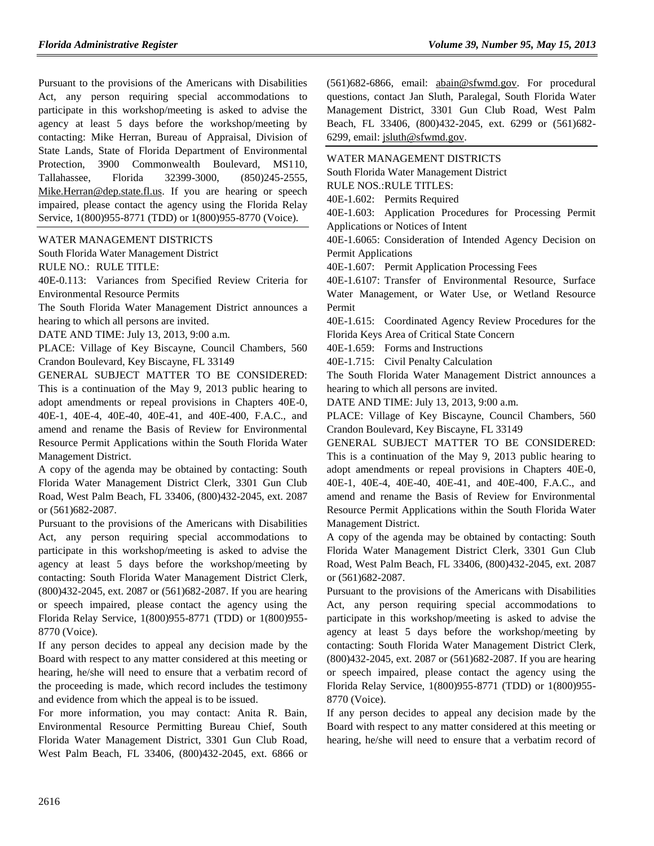Pursuant to the provisions of the Americans with Disabilities Act, any person requiring special accommodations to participate in this workshop/meeting is asked to advise the agency at least 5 days before the workshop/meeting by contacting: Mike Herran, Bureau of Appraisal, Division of State Lands, State of Florida Department of Environmental Protection, 3900 Commonwealth Boulevard, MS110, Tallahassee, Florida 32399-3000, (850)245-2555, [Mike.Herran@dep.state.fl.us.](mailto:Mike.Herran@dep.state.fl.us) If you are hearing or speech impaired, please contact the agency using the Florida Relay Service, 1(800)955-8771 (TDD) or 1(800)955-8770 (Voice).

#### [WATER MANAGEMENT DISTRICTS](https://www.flrules.org/gateway/department.asp?id=40)

[South Florida Water Management District](https://www.flrules.org/gateway/organization.asp?id=124)

RULE NO.: RULE TITLE:

[40E-0.113:](https://www.flrules.org/gateway/ruleNo.asp?id=40E-0.113) Variances from Specified Review Criteria for Environmental Resource Permits

The South Florida Water Management District announces a hearing to which all persons are invited.

DATE AND TIME: July 13, 2013, 9:00 a.m.

PLACE: Village of Key Biscayne, Council Chambers, 560 Crandon Boulevard, Key Biscayne, FL 33149

GENERAL SUBJECT MATTER TO BE CONSIDERED: This is a continuation of the May 9, 2013 public hearing to adopt amendments or repeal provisions in Chapters 40E-0, 40E-1, 40E-4, 40E-40, 40E-41, and 40E-400, F.A.C., and amend and rename the Basis of Review for Environmental Resource Permit Applications within the South Florida Water Management District.

A copy of the agenda may be obtained by contacting: South Florida Water Management District Clerk, 3301 Gun Club Road, West Palm Beach, FL 33406, (800)432-2045, ext. 2087 or (561)682-2087.

Pursuant to the provisions of the Americans with Disabilities Act, any person requiring special accommodations to participate in this workshop/meeting is asked to advise the agency at least 5 days before the workshop/meeting by contacting: South Florida Water Management District Clerk, (800)432-2045, ext. 2087 or (561)682-2087. If you are hearing or speech impaired, please contact the agency using the Florida Relay Service, 1(800)955-8771 (TDD) or 1(800)955- 8770 (Voice).

If any person decides to appeal any decision made by the Board with respect to any matter considered at this meeting or hearing, he/she will need to ensure that a verbatim record of the proceeding is made, which record includes the testimony and evidence from which the appeal is to be issued.

For more information, you may contact: Anita R. Bain, Environmental Resource Permitting Bureau Chief, South Florida Water Management District, 3301 Gun Club Road, West Palm Beach, FL 33406, (800)432-2045, ext. 6866 or (561)682-6866, email: [abain@sfwmd.gov.](mailto:abain@sfwmd.gov) For procedural questions, contact Jan Sluth, Paralegal, South Florida Water Management District, 3301 Gun Club Road, West Palm Beach, FL 33406, (800)432-2045, ext. 6299 or (561)682- 6299, email: [jsluth@sfwmd.gov.](mailto:jsluth@sfwmd.gov)

[WATER MANAGEMENT DISTRICTS](https://www.flrules.org/gateway/department.asp?id=40)

[South Florida Water Management District](https://www.flrules.org/gateway/organization.asp?id=124)

RULE NOS.:RULE TITLES:

[40E-1.602:](https://www.flrules.org/gateway/ruleNo.asp?id=40E-1.602) Permits Required

[40E-1.603:](https://www.flrules.org/gateway/ruleNo.asp?id=40E-1.603) Application Procedures for Processing Permit Applications or Notices of Intent

[40E-1.6065:](https://www.flrules.org/gateway/ruleNo.asp?id=40E-1.6065) Consideration of Intended Agency Decision on Permit Applications

[40E-1.607:](https://www.flrules.org/gateway/ruleNo.asp?id=40E-1.607) Permit Application Processing Fees

[40E-1.6107:](https://www.flrules.org/gateway/ruleNo.asp?id=40E-1.6107) Transfer of Environmental Resource, Surface Water Management, or Water Use, or Wetland Resource Permit

[40E-1.615:](https://www.flrules.org/gateway/ruleNo.asp?id=40E-1.615) Coordinated Agency Review Procedures for the Florida Keys Area of Critical State Concern

[40E-1.659:](https://www.flrules.org/gateway/ruleNo.asp?id=40E-1.659) Forms and Instructions

[40E-1.715:](https://www.flrules.org/gateway/ruleNo.asp?id=40E-1.715) Civil Penalty Calculation

The South Florida Water Management District announces a hearing to which all persons are invited.

DATE AND TIME: July 13, 2013, 9:00 a.m.

PLACE: Village of Key Biscayne, Council Chambers, 560 Crandon Boulevard, Key Biscayne, FL 33149

GENERAL SUBJECT MATTER TO BE CONSIDERED: This is a continuation of the May 9, 2013 public hearing to adopt amendments or repeal provisions in Chapters 40E-0, 40E-1, 40E-4, 40E-40, 40E-41, and 40E-400, F.A.C., and amend and rename the Basis of Review for Environmental Resource Permit Applications within the South Florida Water Management District.

A copy of the agenda may be obtained by contacting: South Florida Water Management District Clerk, 3301 Gun Club Road, West Palm Beach, FL 33406, (800)432-2045, ext. 2087 or (561)682-2087.

Pursuant to the provisions of the Americans with Disabilities Act, any person requiring special accommodations to participate in this workshop/meeting is asked to advise the agency at least 5 days before the workshop/meeting by contacting: South Florida Water Management District Clerk, (800)432-2045, ext. 2087 or (561)682-2087. If you are hearing or speech impaired, please contact the agency using the Florida Relay Service, 1(800)955-8771 (TDD) or 1(800)955- 8770 (Voice).

If any person decides to appeal any decision made by the Board with respect to any matter considered at this meeting or hearing, he/she will need to ensure that a verbatim record of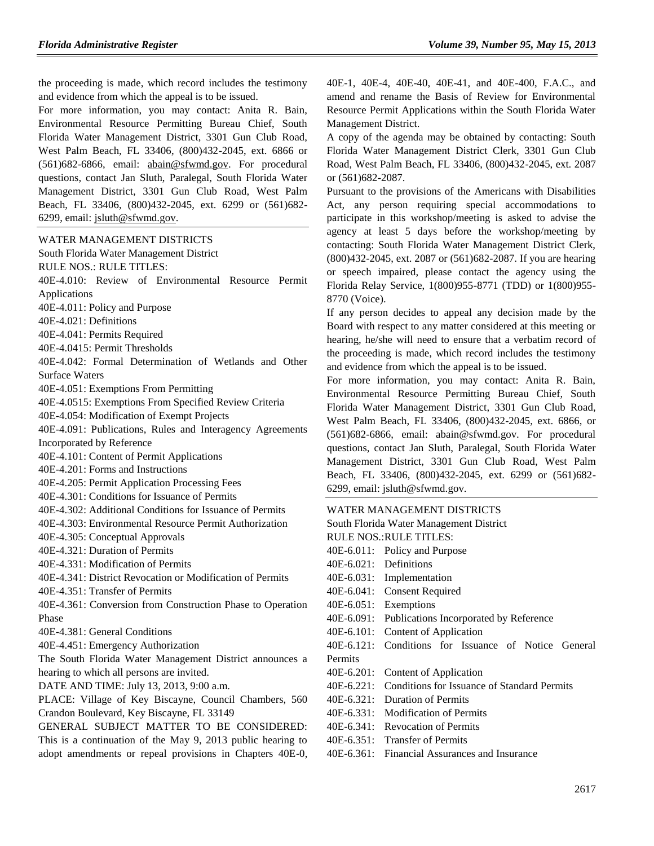the proceeding is made, which record includes the testimony and evidence from which the appeal is to be issued.

For more information, you may contact: Anita R. Bain, Environmental Resource Permitting Bureau Chief, South Florida Water Management District, 3301 Gun Club Road, West Palm Beach, FL 33406, (800)432-2045, ext. 6866 or (561)682-6866, email: [abain@sfwmd.gov.](mailto:abain@sfwmd.gov) For procedural questions, contact Jan Sluth, Paralegal, South Florida Water Management District, 3301 Gun Club Road, West Palm Beach, FL 33406, (800)432-2045, ext. 6299 or (561)682- 6299, email: [jsluth@sfwmd.gov.](mailto:jsluth@sfwmd.gov)

[WATER MANAGEMENT DISTRICTS](https://www.flrules.org/gateway/department.asp?id=40)

[South Florida Water Management District](https://www.flrules.org/gateway/organization.asp?id=124)

RULE NOS.: RULE TITLES:

- [40E-4.010:](https://www.flrules.org/gateway/ruleNo.asp?id=40E-4.010) Review of Environmental Resource Permit Applications
- [40E-4.011:](https://www.flrules.org/gateway/ruleNo.asp?id=40E-4.011) Policy and Purpose

[40E-4.021:](https://www.flrules.org/gateway/ruleNo.asp?id=40E-4.021) Definitions

[40E-4.041:](https://www.flrules.org/gateway/ruleNo.asp?id=40E-4.041) Permits Required

[40E-4.0415:](https://www.flrules.org/gateway/ruleNo.asp?id=40E-4.0415) Permit Thresholds

[40E-4.042:](https://www.flrules.org/gateway/ruleNo.asp?id=40E-4.042) Formal Determination of Wetlands and Other Surface Waters

[40E-4.051:](https://www.flrules.org/gateway/ruleNo.asp?id=40E-4.051) Exemptions From Permitting

[40E-4.0515:](https://www.flrules.org/gateway/ruleNo.asp?id=40E-4.0515) Exemptions From Specified Review Criteria

[40E-4.054:](https://www.flrules.org/gateway/ruleNo.asp?id=40E-4.054) Modification of Exempt Projects

[40E-4.091:](https://www.flrules.org/gateway/ruleNo.asp?id=40E-4.091) Publications, Rules and Interagency Agreements Incorporated by Reference

[40E-4.101:](https://www.flrules.org/gateway/ruleNo.asp?id=40E-4.101) Content of Permit Applications

[40E-4.201:](https://www.flrules.org/gateway/ruleNo.asp?id=40E-4.201) Forms and Instructions

[40E-4.205:](https://www.flrules.org/gateway/ruleNo.asp?id=40E-4.205) Permit Application Processing Fees

[40E-4.301:](https://www.flrules.org/gateway/ruleNo.asp?id=40E-4.301) Conditions for Issuance of Permits

[40E-4.302:](https://www.flrules.org/gateway/ruleNo.asp?id=40E-4.302) Additional Conditions for Issuance of Permits

[40E-4.303:](https://www.flrules.org/gateway/ruleNo.asp?id=40E-4.303) Environmental Resource Permit Authorization

[40E-4.305:](https://www.flrules.org/gateway/ruleNo.asp?id=40E-4.305) Conceptual Approvals

[40E-4.321:](https://www.flrules.org/gateway/ruleNo.asp?id=40E-4.321) Duration of Permits

[40E-4.331:](https://www.flrules.org/gateway/ruleNo.asp?id=40E-4.331) Modification of Permits

[40E-4.341:](https://www.flrules.org/gateway/ruleNo.asp?id=40E-4.341) District Revocation or Modification of Permits

[40E-4.351:](https://www.flrules.org/gateway/ruleNo.asp?id=40E-4.351) Transfer of Permits

[40E-4.361:](https://www.flrules.org/gateway/ruleNo.asp?id=40E-4.361) Conversion from Construction Phase to Operation Phase

[40E-4.381:](https://www.flrules.org/gateway/ruleNo.asp?id=40E-4.381) General Conditions

[40E-4.451:](https://www.flrules.org/gateway/ruleNo.asp?id=40E-4.451) Emergency Authorization

The South Florida Water Management District announces a hearing to which all persons are invited.

DATE AND TIME: July 13, 2013, 9:00 a.m.

PLACE: Village of Key Biscayne, Council Chambers, 560 Crandon Boulevard, Key Biscayne, FL 33149

GENERAL SUBJECT MATTER TO BE CONSIDERED: This is a continuation of the May 9, 2013 public hearing to adopt amendments or repeal provisions in Chapters 40E-0, 40E-1, 40E-4, 40E-40, 40E-41, and 40E-400, F.A.C., and amend and rename the Basis of Review for Environmental Resource Permit Applications within the South Florida Water Management District.

A copy of the agenda may be obtained by contacting: South Florida Water Management District Clerk, 3301 Gun Club Road, West Palm Beach, FL 33406, (800)432-2045, ext. 2087 or (561)682-2087.

Pursuant to the provisions of the Americans with Disabilities Act, any person requiring special accommodations to participate in this workshop/meeting is asked to advise the agency at least 5 days before the workshop/meeting by contacting: South Florida Water Management District Clerk, (800)432-2045, ext. 2087 or (561)682-2087. If you are hearing or speech impaired, please contact the agency using the Florida Relay Service, 1(800)955-8771 (TDD) or 1(800)955- 8770 (Voice).

If any person decides to appeal any decision made by the Board with respect to any matter considered at this meeting or hearing, he/she will need to ensure that a verbatim record of the proceeding is made, which record includes the testimony and evidence from which the appeal is to be issued.

For more information, you may contact: Anita R. Bain, Environmental Resource Permitting Bureau Chief, South Florida Water Management District, 3301 Gun Club Road, West Palm Beach, FL 33406, (800)432-2045, ext. 6866, or (561)682-6866, email: abain@sfwmd.gov. For procedural questions, contact Jan Sluth, Paralegal, South Florida Water Management District, 3301 Gun Club Road, West Palm Beach, FL 33406, (800)432-2045, ext. 6299 or (561)682- 6299, email: jsluth@sfwmd.gov.

#### [WATER MANAGEMENT DISTRICTS](https://www.flrules.org/gateway/department.asp?id=40)

[South Florida Water Management District](https://www.flrules.org/gateway/organization.asp?id=124)

RULE NOS.:RULE TITLES:

- [40E-6.011:](https://www.flrules.org/gateway/ruleNo.asp?id=40E-6.011) Policy and Purpose
- [40E-6.021:](https://www.flrules.org/gateway/ruleNo.asp?id=40E-6.021) Definitions
- [40E-6.031:](https://www.flrules.org/gateway/ruleNo.asp?id=40E-6.031) Implementation
- [40E-6.041:](https://www.flrules.org/gateway/ruleNo.asp?id=40E-6.041) Consent Required
- [40E-6.051:](https://www.flrules.org/gateway/ruleNo.asp?id=40E-6.051) Exemptions
- [40E-6.091:](https://www.flrules.org/gateway/ruleNo.asp?id=40E-6.091) Publications Incorporated by Reference
- [40E-6.101:](https://www.flrules.org/gateway/ruleNo.asp?id=40E-6.101) Content of Application

[40E-6.121:](https://www.flrules.org/gateway/ruleNo.asp?id=40E-6.121) Conditions for Issuance of Notice General Permits

[40E-6.201:](https://www.flrules.org/gateway/ruleNo.asp?id=40E-6.201) Content of Application

- [40E-6.221:](https://www.flrules.org/gateway/ruleNo.asp?id=40E-6.221) Conditions for Issuance of Standard Permits
- [40E-6.321:](https://www.flrules.org/gateway/ruleNo.asp?id=40E-6.321) Duration of Permits
- [40E-6.331:](https://www.flrules.org/gateway/ruleNo.asp?id=40E-6.331) Modification of Permits
- [40E-6.341:](https://www.flrules.org/gateway/ruleNo.asp?id=40E-6.341) Revocation of Permits
- [40E-6.351:](https://www.flrules.org/gateway/ruleNo.asp?id=40E-6.351) Transfer of Permits
- [40E-6.361:](https://www.flrules.org/gateway/ruleNo.asp?id=40E-6.361) Financial Assurances and Insurance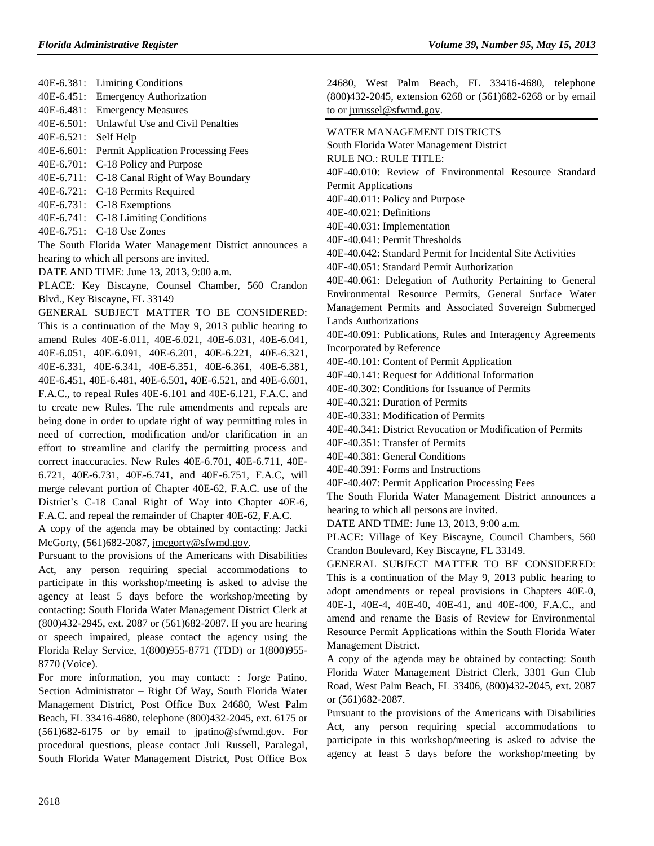[40E-6.381:](https://www.flrules.org/gateway/ruleNo.asp?id=40E-6.381) Limiting Conditions [40E-6.451:](https://www.flrules.org/gateway/ruleNo.asp?id=40E-6.451) Emergency Authorization [40E-6.481:](https://www.flrules.org/gateway/ruleNo.asp?id=40E-6.481) Emergency Measures [40E-6.501:](https://www.flrules.org/gateway/ruleNo.asp?id=40E-6.501) Unlawful Use and Civil Penalties [40E-6.521:](https://www.flrules.org/gateway/ruleNo.asp?id=40E-6.521) Self Help [40E-6.601:](https://www.flrules.org/gateway/ruleNo.asp?id=40E-6.601) Permit Application Processing Fees [40E-6.701:](https://www.flrules.org/gateway/ruleNo.asp?id=40E-6.701) C-18 Policy and Purpose [40E-6.711:](https://www.flrules.org/gateway/ruleNo.asp?id=40E-6.711) C-18 Canal Right of Way Boundary

[40E-6.721:](https://www.flrules.org/gateway/ruleNo.asp?id=40E-6.721) C-18 Permits Required

[40E-6.731:](https://www.flrules.org/gateway/ruleNo.asp?id=40E-6.731) C-18 Exemptions

[40E-6.741:](https://www.flrules.org/gateway/ruleNo.asp?id=40E-6.741) C-18 Limiting Conditions

[40E-6.751:](https://www.flrules.org/gateway/ruleNo.asp?id=40E-6.751) C-18 Use Zones

The South Florida Water Management District announces a hearing to which all persons are invited.

DATE AND TIME: June 13, 2013, 9:00 a.m.

PLACE: Key Biscayne, Counsel Chamber, 560 Crandon Blvd., Key Biscayne, FL 33149

GENERAL SUBJECT MATTER TO BE CONSIDERED: This is a continuation of the May 9, 2013 public hearing to amend Rules 40E-6.011, 40E-6.021, 40E-6.031, 40E-6.041, 40E-6.051, 40E-6.091, 40E-6.201, 40E-6.221, 40E-6.321, 40E-6.331, 40E-6.341, 40E-6.351, 40E-6.361, 40E-6.381, 40E-6.451, 40E-6.481, 40E-6.501, 40E-6.521, and 40E-6.601, F.A.C., to repeal Rules 40E-6.101 and 40E-6.121, F.A.C. and to create new Rules. The rule amendments and repeals are being done in order to update right of way permitting rules in need of correction, modification and/or clarification in an effort to streamline and clarify the permitting process and correct inaccuracies. New Rules 40E-6.701, 40E-6.711, 40E-6.721, 40E-6.731, 40E-6.741, and 40E-6.751, F.A.C, will merge relevant portion of Chapter 40E-62, F.A.C. use of the District's C-18 Canal Right of Way into Chapter 40E-6, F.A.C. and repeal the remainder of Chapter 40E-62, F.A.C.

A copy of the agenda may be obtained by contacting: Jacki McGorty, (561)682-2087[, jmcgorty@sfwmd.gov.](mailto:jmcgorty@sfwmd.gov)

Pursuant to the provisions of the Americans with Disabilities Act, any person requiring special accommodations to participate in this workshop/meeting is asked to advise the agency at least 5 days before the workshop/meeting by contacting: South Florida Water Management District Clerk at (800)432-2945, ext. 2087 or (561)682-2087. If you are hearing or speech impaired, please contact the agency using the Florida Relay Service, 1(800)955-8771 (TDD) or 1(800)955- 8770 (Voice).

For more information, you may contact: : Jorge Patino, Section Administrator – Right Of Way, South Florida Water Management District, Post Office Box 24680, West Palm Beach, FL 33416-4680, telephone (800)432-2045, ext. 6175 or (561)682-6175 or by email to [jpatino@sfwmd.gov.](mailto:jpatino@sfwmd.gov) For procedural questions, please contact Juli Russell, Paralegal, South Florida Water Management District, Post Office Box

24680, West Palm Beach, FL 33416-4680, telephone (800)432-2045, extension 6268 or (561)682-6268 or by email to or [jurussel@sfwmd.gov.](mailto:jurussel@sfwmd.gov)

## [WATER MANAGEMENT DISTRICTS](https://www.flrules.org/gateway/department.asp?id=40)

[South Florida Water Management District](https://www.flrules.org/gateway/organization.asp?id=124)

RULE NO.: RULE TITLE:

[40E-40.010:](https://www.flrules.org/gateway/ruleNo.asp?id=40E-40.010) Review of Environmental Resource Standard Permit Applications

[40E-40.011:](https://www.flrules.org/gateway/ruleNo.asp?id=40E-40.011) Policy and Purpose

[40E-40.021:](https://www.flrules.org/gateway/ruleNo.asp?id=40E-40.021) Definitions

[40E-40.031:](https://www.flrules.org/gateway/ruleNo.asp?id=40E-40.031) Implementation

[40E-40.041:](https://www.flrules.org/gateway/ruleNo.asp?id=40E-40.041) Permit Thresholds

[40E-40.042:](https://www.flrules.org/gateway/ruleNo.asp?id=40E-40.042) Standard Permit for Incidental Site Activities

[40E-40.051:](https://www.flrules.org/gateway/ruleNo.asp?id=40E-40.051) Standard Permit Authorization

[40E-40.061:](https://www.flrules.org/gateway/ruleNo.asp?id=40E-40.061) Delegation of Authority Pertaining to General Environmental Resource Permits, General Surface Water Management Permits and Associated Sovereign Submerged Lands Authorizations

[40E-40.091:](https://www.flrules.org/gateway/ruleNo.asp?id=40E-40.091) Publications, Rules and Interagency Agreements Incorporated by Reference

[40E-40.101:](https://www.flrules.org/gateway/ruleNo.asp?id=40E-40.101) Content of Permit Application

[40E-40.141:](https://www.flrules.org/gateway/ruleNo.asp?id=40E-40.141) Request for Additional Information

[40E-40.302:](https://www.flrules.org/gateway/ruleNo.asp?id=40E-40.302) Conditions for Issuance of Permits

[40E-40.321:](https://www.flrules.org/gateway/ruleNo.asp?id=40E-40.321) Duration of Permits

[40E-40.331:](https://www.flrules.org/gateway/ruleNo.asp?id=40E-40.331) Modification of Permits

[40E-40.341:](https://www.flrules.org/gateway/ruleNo.asp?id=40E-40.341) District Revocation or Modification of Permits

[40E-40.351:](https://www.flrules.org/gateway/ruleNo.asp?id=40E-40.351) Transfer of Permits

[40E-40.381:](https://www.flrules.org/gateway/ruleNo.asp?id=40E-40.381) General Conditions

[40E-40.391:](https://www.flrules.org/gateway/ruleNo.asp?id=40E-40.391) Forms and Instructions

[40E-40.407:](https://www.flrules.org/gateway/ruleNo.asp?id=40E-40.407) Permit Application Processing Fees

The South Florida Water Management District announces a hearing to which all persons are invited.

DATE AND TIME: June 13, 2013, 9:00 a.m.

PLACE: Village of Key Biscayne, Council Chambers, 560 Crandon Boulevard, Key Biscayne, FL 33149.

GENERAL SUBJECT MATTER TO BE CONSIDERED: This is a continuation of the May 9, 2013 public hearing to adopt amendments or repeal provisions in Chapters 40E-0, 40E-1, 40E-4, 40E-40, 40E-41, and 40E-400, F.A.C., and amend and rename the Basis of Review for Environmental Resource Permit Applications within the South Florida Water Management District.

A copy of the agenda may be obtained by contacting: South Florida Water Management District Clerk, 3301 Gun Club Road, West Palm Beach, FL 33406, (800)432-2045, ext. 2087 or (561)682-2087.

Pursuant to the provisions of the Americans with Disabilities Act, any person requiring special accommodations to participate in this workshop/meeting is asked to advise the agency at least 5 days before the workshop/meeting by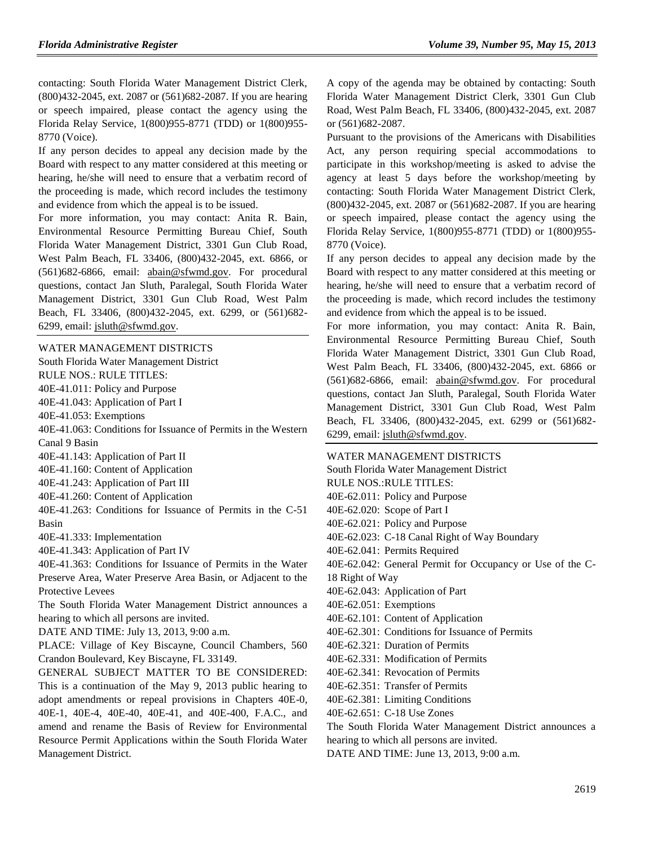contacting: South Florida Water Management District Clerk, (800)432-2045, ext. 2087 or (561)682-2087. If you are hearing or speech impaired, please contact the agency using the Florida Relay Service, 1(800)955-8771 (TDD) or 1(800)955- 8770 (Voice).

If any person decides to appeal any decision made by the Board with respect to any matter considered at this meeting or hearing, he/she will need to ensure that a verbatim record of the proceeding is made, which record includes the testimony and evidence from which the appeal is to be issued.

For more information, you may contact: Anita R. Bain, Environmental Resource Permitting Bureau Chief, South Florida Water Management District, 3301 Gun Club Road, West Palm Beach, FL 33406, (800)432-2045, ext. 6866, or (561)682-6866, email: [abain@sfwmd.gov.](mailto:abain@sfwmd.gov) For procedural questions, contact Jan Sluth, Paralegal, South Florida Water Management District, 3301 Gun Club Road, West Palm Beach, FL 33406, (800)432-2045, ext. 6299, or (561)682- 6299, email: [jsluth@sfwmd.gov.](mailto:jsluth@sfwmd.gov)

[WATER MANAGEMENT DISTRICTS](https://www.flrules.org/gateway/department.asp?id=40)

[South Florida Water Management District](https://www.flrules.org/gateway/organization.asp?id=124)

RULE NOS.: RULE TITLES:

[40E-41.011:](https://www.flrules.org/gateway/ruleNo.asp?id=40E-41.011) Policy and Purpose

[40E-41.043:](https://www.flrules.org/gateway/ruleNo.asp?id=40E-41.043) Application of Part I

[40E-41.053:](https://www.flrules.org/gateway/ruleNo.asp?id=40E-41.053) Exemptions

[40E-41.063:](https://www.flrules.org/gateway/ruleNo.asp?id=40E-41.063) Conditions for Issuance of Permits in the Western Canal 9 Basin

[40E-41.143:](https://www.flrules.org/gateway/ruleNo.asp?id=40E-41.143) Application of Part II

[40E-41.160:](https://www.flrules.org/gateway/ruleNo.asp?id=40E-41.160) Content of Application

[40E-41.243:](https://www.flrules.org/gateway/ruleNo.asp?id=40E-41.243) Application of Part III

[40E-41.260:](https://www.flrules.org/gateway/ruleNo.asp?id=40E-41.260) Content of Application

[40E-41.263:](https://www.flrules.org/gateway/ruleNo.asp?id=40E-41.263) Conditions for Issuance of Permits in the C-51 Basin

[40E-41.333:](https://www.flrules.org/gateway/ruleNo.asp?id=40E-41.333) Implementation

[40E-41.343:](https://www.flrules.org/gateway/ruleNo.asp?id=40E-41.343) Application of Part IV

[40E-41.363:](https://www.flrules.org/gateway/ruleNo.asp?id=40E-41.363) Conditions for Issuance of Permits in the Water Preserve Area, Water Preserve Area Basin, or Adjacent to the Protective Levees

The South Florida Water Management District announces a hearing to which all persons are invited.

DATE AND TIME: July 13, 2013, 9:00 a.m.

PLACE: Village of Key Biscayne, Council Chambers, 560 Crandon Boulevard, Key Biscayne, FL 33149.

GENERAL SUBJECT MATTER TO BE CONSIDERED: This is a continuation of the May 9, 2013 public hearing to adopt amendments or repeal provisions in Chapters 40E-0, 40E-1, 40E-4, 40E-40, 40E-41, and 40E-400, F.A.C., and amend and rename the Basis of Review for Environmental Resource Permit Applications within the South Florida Water Management District.

A copy of the agenda may be obtained by contacting: South Florida Water Management District Clerk, 3301 Gun Club Road, West Palm Beach, FL 33406, (800)432-2045, ext. 2087 or (561)682-2087.

Pursuant to the provisions of the Americans with Disabilities Act, any person requiring special accommodations to participate in this workshop/meeting is asked to advise the agency at least 5 days before the workshop/meeting by contacting: South Florida Water Management District Clerk, (800)432-2045, ext. 2087 or (561)682-2087. If you are hearing or speech impaired, please contact the agency using the Florida Relay Service, 1(800)955-8771 (TDD) or 1(800)955- 8770 (Voice).

If any person decides to appeal any decision made by the Board with respect to any matter considered at this meeting or hearing, he/she will need to ensure that a verbatim record of the proceeding is made, which record includes the testimony and evidence from which the appeal is to be issued.

For more information, you may contact: Anita R. Bain, Environmental Resource Permitting Bureau Chief, South Florida Water Management District, 3301 Gun Club Road, West Palm Beach, FL 33406, (800)432-2045, ext. 6866 or (561)682-6866, email: [abain@sfwmd.gov.](mailto:abain@sfwmd.gov) For procedural questions, contact Jan Sluth, Paralegal, South Florida Water Management District, 3301 Gun Club Road, West Palm Beach, FL 33406, (800)432-2045, ext. 6299 or (561)682- 6299, email: [jsluth@sfwmd.gov.](mailto:jsluth@sfwmd.gov)

### [WATER MANAGEMENT DISTRICTS](https://www.flrules.org/gateway/department.asp?id=40)

[South Florida Water Management District](https://www.flrules.org/gateway/organization.asp?id=124) RULE NOS.:RULE TITLES: [40E-62.011:](https://www.flrules.org/gateway/ruleNo.asp?id=40E-62.011) Policy and Purpose [40E-62.020:](https://www.flrules.org/gateway/ruleNo.asp?id=40E-62.020) Scope of Part I [40E-62.021:](https://www.flrules.org/gateway/ruleNo.asp?id=40E-62.021) Policy and Purpose [40E-62.023:](https://www.flrules.org/gateway/ruleNo.asp?id=40E-62.023) C-18 Canal Right of Way Boundary [40E-62.041:](https://www.flrules.org/gateway/ruleNo.asp?id=40E-62.041) Permits Required [40E-62.042:](https://www.flrules.org/gateway/ruleNo.asp?id=40E-62.042) General Permit for Occupancy or Use of the C-18 Right of Way [40E-62.043:](https://www.flrules.org/gateway/ruleNo.asp?id=40E-62.043) Application of Part [40E-62.051:](https://www.flrules.org/gateway/ruleNo.asp?id=40E-62.051) Exemptions [40E-62.101:](https://www.flrules.org/gateway/ruleNo.asp?id=40E-62.101) Content of Application [40E-62.301:](https://www.flrules.org/gateway/ruleNo.asp?id=40E-62.301) Conditions for Issuance of Permits [40E-62.321:](https://www.flrules.org/gateway/ruleNo.asp?id=40E-62.321) Duration of Permits [40E-62.331:](https://www.flrules.org/gateway/ruleNo.asp?id=40E-62.331) Modification of Permits [40E-62.341:](https://www.flrules.org/gateway/ruleNo.asp?id=40E-62.341) Revocation of Permits [40E-62.351:](https://www.flrules.org/gateway/ruleNo.asp?id=40E-62.351) Transfer of Permits [40E-62.381:](https://www.flrules.org/gateway/ruleNo.asp?id=40E-62.381) Limiting Conditions [40E-62.651:](https://www.flrules.org/gateway/ruleNo.asp?id=40E-62.651) C-18 Use Zones The South Florida Water Management District announces a hearing to which all persons are invited. DATE AND TIME: June 13, 2013, 9:00 a.m.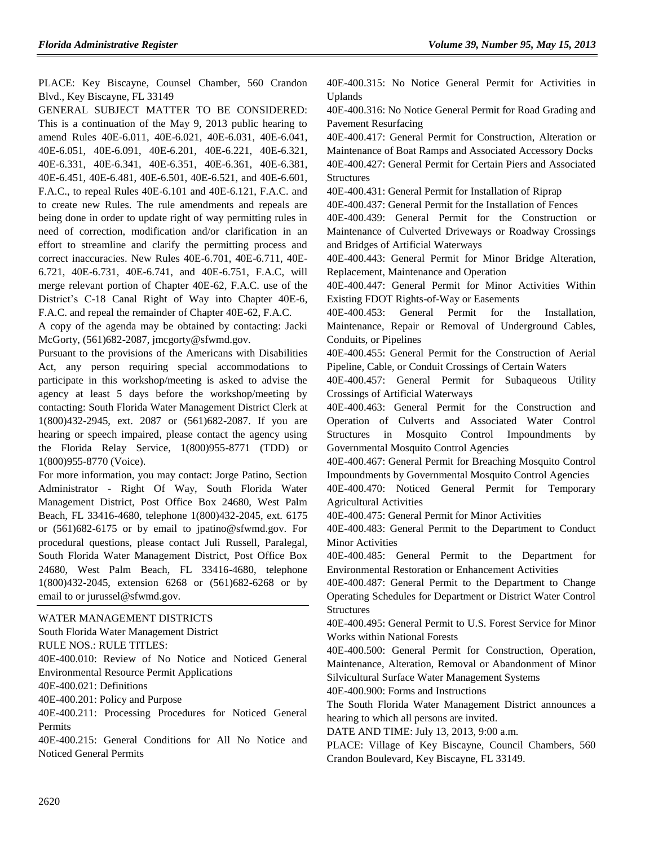PLACE: Key Biscayne, Counsel Chamber, 560 Crandon Blvd., Key Biscayne, FL 33149

GENERAL SUBJECT MATTER TO BE CONSIDERED: This is a continuation of the May 9, 2013 public hearing to amend Rules 40E-6.011, 40E-6.021, 40E-6.031, 40E-6.041, 40E-6.051, 40E-6.091, 40E-6.201, 40E-6.221, 40E-6.321, 40E-6.331, 40E-6.341, 40E-6.351, 40E-6.361, 40E-6.381, 40E-6.451, 40E-6.481, 40E-6.501, 40E-6.521, and 40E-6.601, F.A.C., to repeal Rules 40E-6.101 and 40E-6.121, F.A.C. and to create new Rules. The rule amendments and repeals are being done in order to update right of way permitting rules in need of correction, modification and/or clarification in an effort to streamline and clarify the permitting process and correct inaccuracies. New Rules 40E-6.701, 40E-6.711, 40E-6.721, 40E-6.731, 40E-6.741, and 40E-6.751, F.A.C, will merge relevant portion of Chapter 40E-62, F.A.C. use of the District's C-18 Canal Right of Way into Chapter 40E-6, F.A.C. and repeal the remainder of Chapter 40E-62, F.A.C.

A copy of the agenda may be obtained by contacting: Jacki McGorty, (561)682-2087, jmcgorty@sfwmd.gov.

Pursuant to the provisions of the Americans with Disabilities Act, any person requiring special accommodations to participate in this workshop/meeting is asked to advise the agency at least 5 days before the workshop/meeting by contacting: South Florida Water Management District Clerk at 1(800)432-2945, ext. 2087 or (561)682-2087. If you are hearing or speech impaired, please contact the agency using the Florida Relay Service, 1(800)955-8771 (TDD) or 1(800)955-8770 (Voice).

For more information, you may contact: Jorge Patino, Section Administrator - Right Of Way, South Florida Water Management District, Post Office Box 24680, West Palm Beach, FL 33416-4680, telephone 1(800)432-2045, ext. 6175 or (561)682-6175 or by email to jpatino@sfwmd.gov. For procedural questions, please contact Juli Russell, Paralegal, South Florida Water Management District, Post Office Box 24680, West Palm Beach, FL 33416-4680, telephone 1(800)432-2045, extension 6268 or (561)682-6268 or by email to or jurussel@sfwmd.gov.

[WATER MANAGEMENT DISTRICTS](https://www.flrules.org/gateway/department.asp?id=40)

[South Florida Water Management District](https://www.flrules.org/gateway/organization.asp?id=124)

RULE NOS.: RULE TITLES:

[40E-400.010:](https://www.flrules.org/gateway/ruleNo.asp?id=40E-400.010) Review of No Notice and Noticed General Environmental Resource Permit Applications

[40E-400.021:](https://www.flrules.org/gateway/ruleNo.asp?id=40E-400.021) Definitions

[40E-400.201:](https://www.flrules.org/gateway/ruleNo.asp?id=40E-400.201) Policy and Purpose

[40E-400.211:](https://www.flrules.org/gateway/ruleNo.asp?id=40E-400.211) Processing Procedures for Noticed General **Permits** 

[40E-400.215:](https://www.flrules.org/gateway/ruleNo.asp?id=40E-400.215) General Conditions for All No Notice and Noticed General Permits

[40E-400.315:](https://www.flrules.org/gateway/ruleNo.asp?id=40E-400.315) No Notice General Permit for Activities in Uplands

[40E-400.316:](https://www.flrules.org/gateway/ruleNo.asp?id=40E-400.316) No Notice General Permit for Road Grading and Pavement Resurfacing

[40E-400.417:](https://www.flrules.org/gateway/ruleNo.asp?id=40E-400.417) General Permit for Construction, Alteration or Maintenance of Boat Ramps and Associated Accessory Docks [40E-400.427:](https://www.flrules.org/gateway/ruleNo.asp?id=40E-400.427) General Permit for Certain Piers and Associated **Structures** 

[40E-400.431:](https://www.flrules.org/gateway/ruleNo.asp?id=40E-400.431) General Permit for Installation of Riprap

[40E-400.437:](https://www.flrules.org/gateway/ruleNo.asp?id=40E-400.437) General Permit for the Installation of Fences

[40E-400.439:](https://www.flrules.org/gateway/ruleNo.asp?id=40E-400.439) General Permit for the Construction or Maintenance of Culverted Driveways or Roadway Crossings and Bridges of Artificial Waterways

[40E-400.443:](https://www.flrules.org/gateway/ruleNo.asp?id=40E-400.443) General Permit for Minor Bridge Alteration, Replacement, Maintenance and Operation

[40E-400.447:](https://www.flrules.org/gateway/ruleNo.asp?id=40E-400.447) General Permit for Minor Activities Within Existing FDOT Rights-of-Way or Easements

[40E-400.453:](https://www.flrules.org/gateway/ruleNo.asp?id=40E-400.453) General Permit for the Installation, Maintenance, Repair or Removal of Underground Cables, Conduits, or Pipelines

[40E-400.455:](https://www.flrules.org/gateway/ruleNo.asp?id=40E-400.455) General Permit for the Construction of Aerial Pipeline, Cable, or Conduit Crossings of Certain Waters

[40E-400.457:](https://www.flrules.org/gateway/ruleNo.asp?id=40E-400.457) General Permit for Subaqueous Utility Crossings of Artificial Waterways

[40E-400.463:](https://www.flrules.org/gateway/ruleNo.asp?id=40E-400.463) General Permit for the Construction and Operation of Culverts and Associated Water Control Structures in Mosquito Control Impoundments by Governmental Mosquito Control Agencies

[40E-400.467:](https://www.flrules.org/gateway/ruleNo.asp?id=40E-400.467) General Permit for Breaching Mosquito Control Impoundments by Governmental Mosquito Control Agencies

[40E-400.470:](https://www.flrules.org/gateway/ruleNo.asp?id=40E-400.470) Noticed General Permit for Temporary Agricultural Activities

[40E-400.475:](https://www.flrules.org/gateway/ruleNo.asp?id=40E-400.475) General Permit for Minor Activities

[40E-400.483:](https://www.flrules.org/gateway/ruleNo.asp?id=40E-400.483) General Permit to the Department to Conduct Minor Activities

[40E-400.485:](https://www.flrules.org/gateway/ruleNo.asp?id=40E-400.485) General Permit to the Department for Environmental Restoration or Enhancement Activities

[40E-400.487:](https://www.flrules.org/gateway/ruleNo.asp?id=40E-400.487) General Permit to the Department to Change Operating Schedules for Department or District Water Control **Structures** 

[40E-400.495:](https://www.flrules.org/gateway/ruleNo.asp?id=40E-400.495) General Permit to U.S. Forest Service for Minor Works within National Forests

[40E-400.500:](https://www.flrules.org/gateway/ruleNo.asp?id=40E-400.500) General Permit for Construction, Operation, Maintenance, Alteration, Removal or Abandonment of Minor Silvicultural Surface Water Management Systems

[40E-400.900:](https://www.flrules.org/gateway/ruleNo.asp?id=40E-400.900) Forms and Instructions

The South Florida Water Management District announces a hearing to which all persons are invited.

DATE AND TIME: July 13, 2013, 9:00 a.m.

PLACE: Village of Key Biscayne, Council Chambers, 560 Crandon Boulevard, Key Biscayne, FL 33149.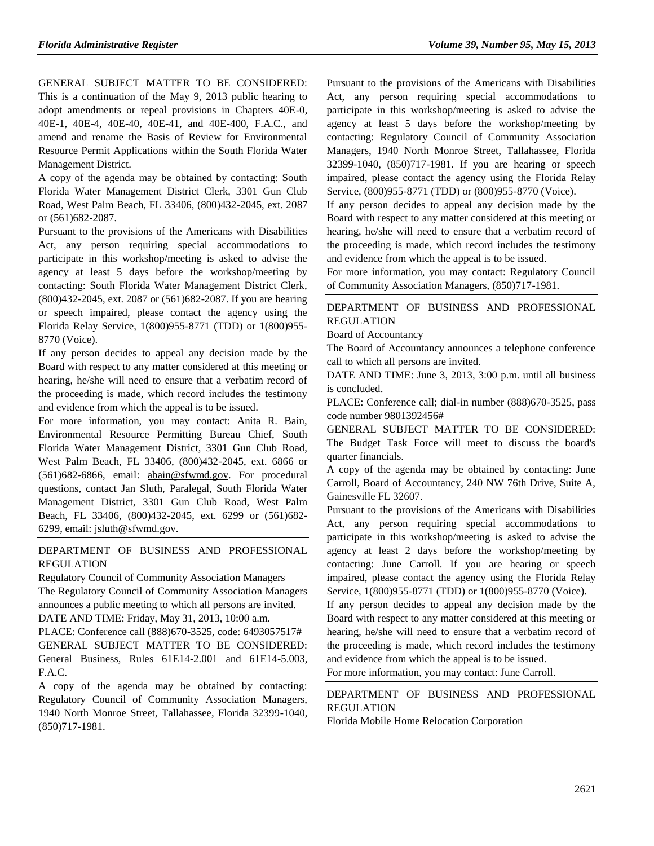GENERAL SUBJECT MATTER TO BE CONSIDERED: This is a continuation of the May 9, 2013 public hearing to adopt amendments or repeal provisions in Chapters 40E-0, 40E-1, 40E-4, 40E-40, 40E-41, and 40E-400, F.A.C., and amend and rename the Basis of Review for Environmental Resource Permit Applications within the South Florida Water Management District.

A copy of the agenda may be obtained by contacting: South Florida Water Management District Clerk, 3301 Gun Club Road, West Palm Beach, FL 33406, (800)432-2045, ext. 2087 or (561)682-2087.

Pursuant to the provisions of the Americans with Disabilities Act, any person requiring special accommodations to participate in this workshop/meeting is asked to advise the agency at least 5 days before the workshop/meeting by contacting: South Florida Water Management District Clerk, (800)432-2045, ext. 2087 or (561)682-2087. If you are hearing or speech impaired, please contact the agency using the Florida Relay Service, 1(800)955-8771 (TDD) or 1(800)955- 8770 (Voice).

If any person decides to appeal any decision made by the Board with respect to any matter considered at this meeting or hearing, he/she will need to ensure that a verbatim record of the proceeding is made, which record includes the testimony and evidence from which the appeal is to be issued.

For more information, you may contact: Anita R. Bain, Environmental Resource Permitting Bureau Chief, South Florida Water Management District, 3301 Gun Club Road, West Palm Beach, FL 33406, (800)432-2045, ext. 6866 or (561)682-6866, email: [abain@sfwmd.gov.](mailto:abain@sfwmd.gov) For procedural questions, contact Jan Sluth, Paralegal, South Florida Water Management District, 3301 Gun Club Road, West Palm Beach, FL 33406, (800)432-2045, ext. 6299 or (561)682- 6299, email: [jsluth@sfwmd.gov.](mailto:jsluth@sfwmd.gov)

### [DEPARTMENT OF BUSINESS AND PROFESSIONAL](https://www.flrules.org/gateway/department.asp?id=61)  [REGULATION](https://www.flrules.org/gateway/department.asp?id=61)

[Regulatory Council of Community Association Managers](https://www.flrules.org/gateway/organization.asp?id=835) The Regulatory Council of Community Association Managers announces a public meeting to which all persons are invited. DATE AND TIME: Friday, May 31, 2013, 10:00 a.m.

PLACE: Conference call (888)670-3525, code: 6493057517# GENERAL SUBJECT MATTER TO BE CONSIDERED: General Business, Rules 61E14-2.001 and 61E14-5.003, F.A.C.

A copy of the agenda may be obtained by contacting: Regulatory Council of Community Association Managers, 1940 North Monroe Street, Tallahassee, Florida 32399-1040, (850)717-1981.

Pursuant to the provisions of the Americans with Disabilities Act, any person requiring special accommodations to participate in this workshop/meeting is asked to advise the agency at least 5 days before the workshop/meeting by contacting: Regulatory Council of Community Association Managers, 1940 North Monroe Street, Tallahassee, Florida 32399-1040, (850)717-1981. If you are hearing or speech impaired, please contact the agency using the Florida Relay Service, (800)955-8771 (TDD) or (800)955-8770 (Voice).

If any person decides to appeal any decision made by the Board with respect to any matter considered at this meeting or hearing, he/she will need to ensure that a verbatim record of the proceeding is made, which record includes the testimony and evidence from which the appeal is to be issued.

For more information, you may contact: Regulatory Council of Community Association Managers, (850)717-1981.

### [DEPARTMENT OF BUSINESS AND PROFESSIONAL](https://www.flrules.org/gateway/department.asp?id=61)  [REGULATION](https://www.flrules.org/gateway/department.asp?id=61)

[Board of Accountancy](https://www.flrules.org/gateway/organization.asp?id=280)

The Board of Accountancy announces a telephone conference call to which all persons are invited.

DATE AND TIME: June 3, 2013, 3:00 p.m. until all business is concluded.

PLACE: Conference call; dial-in number (888)670-3525, pass code number 9801392456#

GENERAL SUBJECT MATTER TO BE CONSIDERED: The Budget Task Force will meet to discuss the board's quarter financials.

A copy of the agenda may be obtained by contacting: June Carroll, Board of Accountancy, 240 NW 76th Drive, Suite A, Gainesville FL 32607.

Pursuant to the provisions of the Americans with Disabilities Act, any person requiring special accommodations to participate in this workshop/meeting is asked to advise the agency at least 2 days before the workshop/meeting by contacting: June Carroll. If you are hearing or speech impaired, please contact the agency using the Florida Relay Service, 1(800)955-8771 (TDD) or 1(800)955-8770 (Voice).

If any person decides to appeal any decision made by the Board with respect to any matter considered at this meeting or hearing, he/she will need to ensure that a verbatim record of the proceeding is made, which record includes the testimony and evidence from which the appeal is to be issued.

For more information, you may contact: June Carroll.

[DEPARTMENT OF BUSINESS AND PROFESSIONAL](https://www.flrules.org/gateway/department.asp?id=61)  [REGULATION](https://www.flrules.org/gateway/department.asp?id=61) [Florida Mobile Home Relocation Corporation](https://www.flrules.org/gateway/organization.asp?id=505)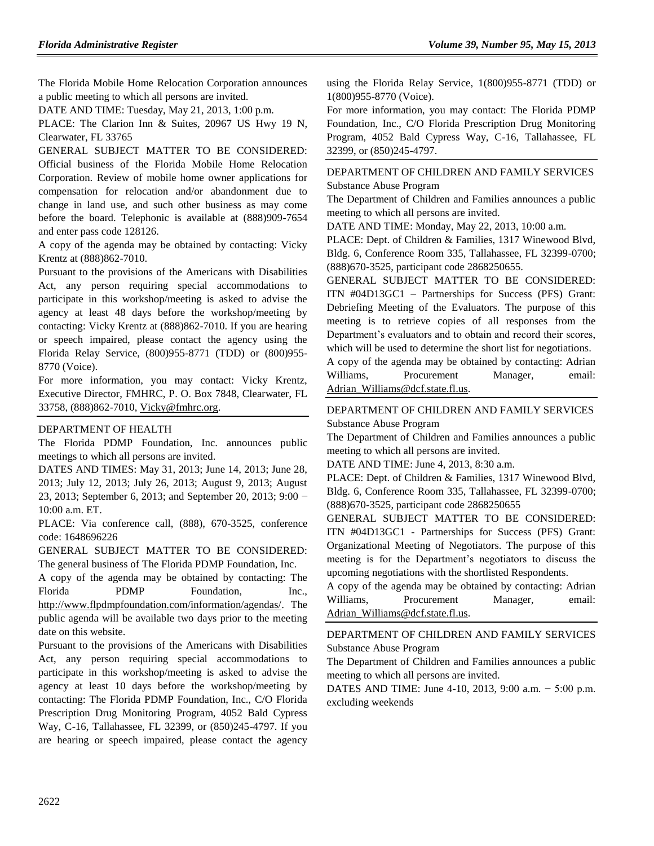The Florida Mobile Home Relocation Corporation announces a public meeting to which all persons are invited.

DATE AND TIME: Tuesday, May 21, 2013, 1:00 p.m.

PLACE: The Clarion Inn & Suites, 20967 US Hwy 19 N, Clearwater, FL 33765

GENERAL SUBJECT MATTER TO BE CONSIDERED: Official business of the Florida Mobile Home Relocation Corporation. Review of mobile home owner applications for compensation for relocation and/or abandonment due to change in land use, and such other business as may come before the board. Telephonic is available at (888)909-7654 and enter pass code 128126.

A copy of the agenda may be obtained by contacting: Vicky Krentz at (888)862-7010.

Pursuant to the provisions of the Americans with Disabilities Act, any person requiring special accommodations to participate in this workshop/meeting is asked to advise the agency at least 48 days before the workshop/meeting by contacting: Vicky Krentz at (888)862-7010. If you are hearing or speech impaired, please contact the agency using the Florida Relay Service, (800)955-8771 (TDD) or (800)955- 8770 (Voice).

For more information, you may contact: Vicky Krentz, Executive Director, FMHRC, P. O. Box 7848, Clearwater, FL 33758, (888)862-7010, [Vicky@fmhrc.org.](mailto:Vicky@fmhrc.org)

### [DEPARTMENT OF HEALTH](https://www.flrules.org/gateway/department.asp?id=64)

The Florida PDMP Foundation, Inc. announces public meetings to which all persons are invited.

DATES AND TIMES: May 31, 2013; June 14, 2013; June 28, 2013; July 12, 2013; July 26, 2013; August 9, 2013; August 23, 2013; September 6, 2013; and September 20, 2013; 9:00 − 10:00 a.m. ET.

PLACE: Via conference call, (888), 670-3525, conference code: 1648696226

GENERAL SUBJECT MATTER TO BE CONSIDERED: The general business of The Florida PDMP Foundation, Inc.

A copy of the agenda may be obtained by contacting: The Florida PDMP Foundation, Inc., [http://www.flpdmpfoundation.com/information/agendas/.](http://www.flpdmpfoundation.com/information/agendas/) The public agenda will be available two days prior to the meeting date on this website.

Pursuant to the provisions of the Americans with Disabilities Act, any person requiring special accommodations to participate in this workshop/meeting is asked to advise the agency at least 10 days before the workshop/meeting by contacting: The Florida PDMP Foundation, Inc., C/O Florida Prescription Drug Monitoring Program, 4052 Bald Cypress Way, C-16, Tallahassee, FL 32399, or (850)245-4797. If you are hearing or speech impaired, please contact the agency using the Florida Relay Service, 1(800)955-8771 (TDD) or 1(800)955-8770 (Voice).

For more information, you may contact: The Florida PDMP Foundation, Inc., C/O Florida Prescription Drug Monitoring Program, 4052 Bald Cypress Way, C-16, Tallahassee, FL 32399, or (850)245-4797.

[DEPARTMENT OF CHILDREN AND FAMILY SERVICES](https://www.flrules.org/gateway/department.asp?id=65) [Substance Abuse Program](https://www.flrules.org/gateway/organization.asp?id=343)

The Department of Children and Families announces a public meeting to which all persons are invited.

DATE AND TIME: Monday, May 22, 2013, 10:00 a.m.

PLACE: Dept. of Children & Families, 1317 Winewood Blvd, Bldg. 6, Conference Room 335, Tallahassee, FL 32399-0700; (888)670-3525, participant code 2868250655.

GENERAL SUBJECT MATTER TO BE CONSIDERED: ITN #04D13GC1 – Partnerships for Success (PFS) Grant: Debriefing Meeting of the Evaluators. The purpose of this meeting is to retrieve copies of all responses from the Department's evaluators and to obtain and record their scores, which will be used to determine the short list for negotiations.

A copy of the agenda may be obtained by contacting: Adrian Williams, Procurement Manager, email: [Adrian\\_Williams@dcf.state.fl.us.](mailto:Adrian_Williams@dcf.state.fl.us)

## [DEPARTMENT OF CHILDREN AND FAMILY SERVICES](https://www.flrules.org/gateway/department.asp?id=65)

[Substance Abuse Program](https://www.flrules.org/gateway/organization.asp?id=343)

The Department of Children and Families announces a public meeting to which all persons are invited.

DATE AND TIME: June 4, 2013, 8:30 a.m.

PLACE: Dept. of Children & Families, 1317 Winewood Blvd, Bldg. 6, Conference Room 335, Tallahassee, FL 32399-0700; (888)670-3525, participant code 2868250655

GENERAL SUBJECT MATTER TO BE CONSIDERED: ITN #04D13GC1 - Partnerships for Success (PFS) Grant: Organizational Meeting of Negotiators. The purpose of this meeting is for the Department's negotiators to discuss the upcoming negotiations with the shortlisted Respondents.

A copy of the agenda may be obtained by contacting: Adrian Williams, Procurement Manager, email: [Adrian\\_Williams@dcf.state.fl.us.](mailto:Adrian_Williams@dcf.state.fl.us)

## [DEPARTMENT OF CHILDREN AND FAMILY SERVICES](https://www.flrules.org/gateway/department.asp?id=65) [Substance Abuse Program](https://www.flrules.org/gateway/organization.asp?id=343)

The Department of Children and Families announces a public meeting to which all persons are invited.

DATES AND TIME: June 4-10, 2013, 9:00 a.m. − 5:00 p.m. excluding weekends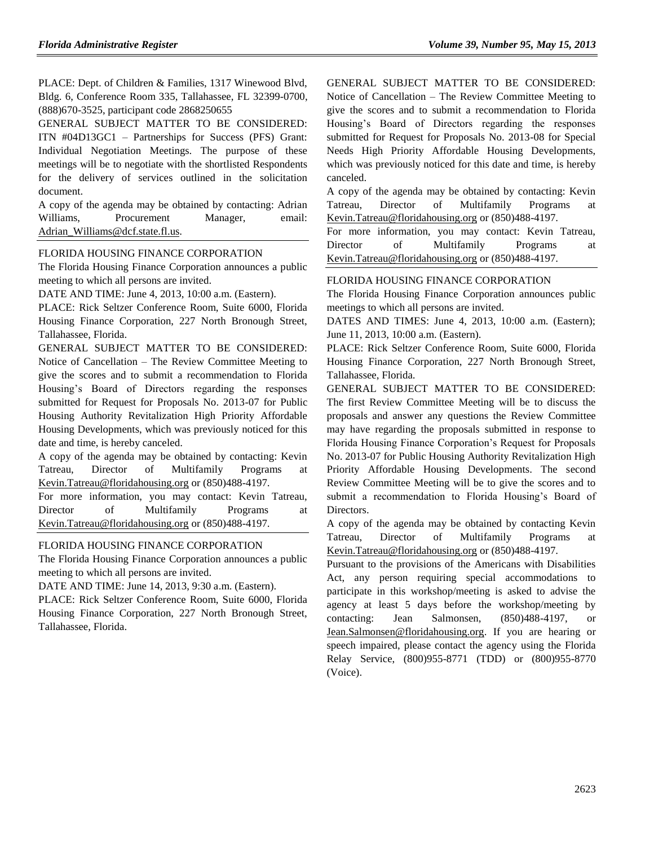PLACE: Dept. of Children & Families, 1317 Winewood Blvd, Bldg. 6, Conference Room 335, Tallahassee, FL 32399-0700, (888)670-3525, participant code 2868250655

GENERAL SUBJECT MATTER TO BE CONSIDERED: ITN #04D13GC1 – Partnerships for Success (PFS) Grant: Individual Negotiation Meetings. The purpose of these meetings will be to negotiate with the shortlisted Respondents for the delivery of services outlined in the solicitation document.

A copy of the agenda may be obtained by contacting: Adrian Williams, Procurement Manager, email: [Adrian\\_Williams@dcf.state.fl.us.](mailto:Adrian_Williams@dcf.state.fl.us)

#### [FLORIDA HOUSING FINANCE CORPORATION](https://www.flrules.org/gateway/department.asp?id=67)

The Florida Housing Finance Corporation announces a public meeting to which all persons are invited.

DATE AND TIME: June 4, 2013, 10:00 a.m. (Eastern).

PLACE: Rick Seltzer Conference Room, Suite 6000, Florida Housing Finance Corporation, 227 North Bronough Street, Tallahassee, Florida.

GENERAL SUBJECT MATTER TO BE CONSIDERED: Notice of Cancellation – The Review Committee Meeting to give the scores and to submit a recommendation to Florida Housing's Board of Directors regarding the responses submitted for Request for Proposals No. 2013-07 for Public Housing Authority Revitalization High Priority Affordable Housing Developments, which was previously noticed for this date and time, is hereby canceled.

A copy of the agenda may be obtained by contacting: Kevin Tatreau, Director of Multifamily Programs at [Kevin.Tatreau@floridahousing.org](mailto:Kevin.Tatreau@floridahousing.org) or (850)488-4197.

For more information, you may contact: Kevin Tatreau, Director of Multifamily Programs at [Kevin.Tatreau@floridahousing.org](mailto:Kevin.Tatreau@floridahousing.org) or (850)488-4197.

#### [FLORIDA HOUSING FINANCE CORPORATION](https://www.flrules.org/gateway/department.asp?id=67)

The Florida Housing Finance Corporation announces a public meeting to which all persons are invited.

DATE AND TIME: June 14, 2013, 9:30 a.m. (Eastern).

PLACE: Rick Seltzer Conference Room, Suite 6000, Florida Housing Finance Corporation, 227 North Bronough Street, Tallahassee, Florida.

GENERAL SUBJECT MATTER TO BE CONSIDERED: Notice of Cancellation – The Review Committee Meeting to give the scores and to submit a recommendation to Florida Housing's Board of Directors regarding the responses submitted for Request for Proposals No. 2013-08 for Special Needs High Priority Affordable Housing Developments, which was previously noticed for this date and time, is hereby canceled.

A copy of the agenda may be obtained by contacting: Kevin Tatreau, Director of Multifamily Programs at [Kevin.Tatreau@floridahousing.org](mailto:Kevin.Tatreau@floridahousing.org) or (850)488-4197.

For more information, you may contact: Kevin Tatreau, Director of Multifamily Programs at [Kevin.Tatreau@floridahousing.org](mailto:Kevin.Tatreau@floridahousing.org) or (850)488-4197.

#### [FLORIDA HOUSING FINANCE CORPORATION](https://www.flrules.org/gateway/department.asp?id=67)

The Florida Housing Finance Corporation announces public meetings to which all persons are invited.

DATES AND TIMES: June 4, 2013, 10:00 a.m. (Eastern); June 11, 2013, 10:00 a.m. (Eastern).

PLACE: Rick Seltzer Conference Room, Suite 6000, Florida Housing Finance Corporation, 227 North Bronough Street, Tallahassee, Florida.

GENERAL SUBJECT MATTER TO BE CONSIDERED: The first Review Committee Meeting will be to discuss the proposals and answer any questions the Review Committee may have regarding the proposals submitted in response to Florida Housing Finance Corporation's Request for Proposals No. 2013-07 for Public Housing Authority Revitalization High Priority Affordable Housing Developments. The second Review Committee Meeting will be to give the scores and to submit a recommendation to Florida Housing's Board of Directors.

A copy of the agenda may be obtained by contacting Kevin Tatreau, Director of Multifamily Programs at [Kevin.Tatreau@floridahousing.org](mailto:Kevin.Tatreau@floridahousing.org) or (850)488-4197.

Pursuant to the provisions of the Americans with Disabilities Act, any person requiring special accommodations to participate in this workshop/meeting is asked to advise the agency at least 5 days before the workshop/meeting by contacting: Jean Salmonsen, (850)488-4197, or [Jean.Salmonsen@floridahousing.org.](mailto:Jean.Salmonsen@floridahousing.org) If you are hearing or speech impaired, please contact the agency using the Florida Relay Service, (800)955-8771 (TDD) or (800)955-8770 (Voice).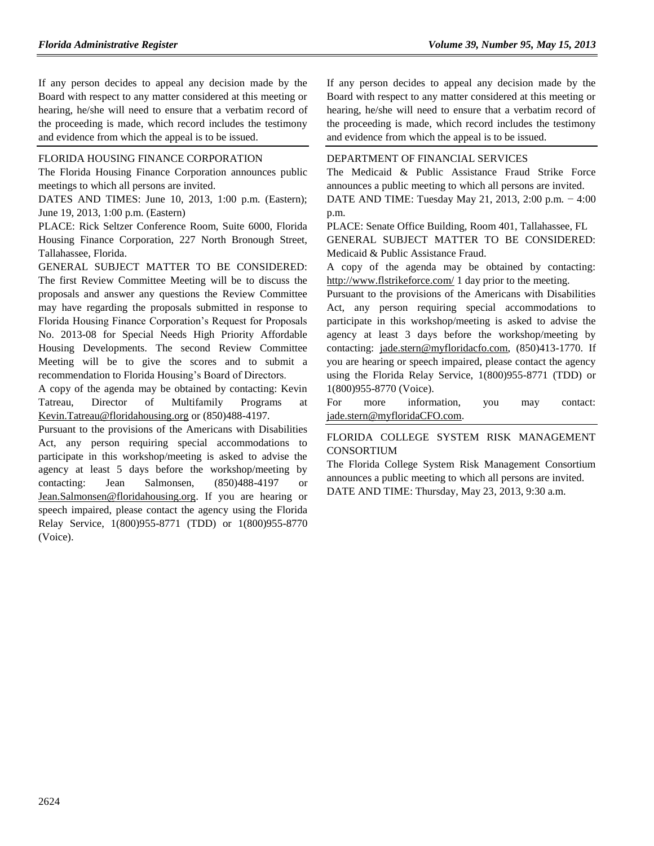If any person decides to appeal any decision made by the Board with respect to any matter considered at this meeting or hearing, he/she will need to ensure that a verbatim record of the proceeding is made, which record includes the testimony and evidence from which the appeal is to be issued.

## [FLORIDA HOUSING FINANCE CORPORATION](https://www.flrules.org/gateway/department.asp?id=67)

The Florida Housing Finance Corporation announces public meetings to which all persons are invited.

DATES AND TIMES: June 10, 2013, 1:00 p.m. (Eastern); June 19, 2013, 1:00 p.m. (Eastern)

PLACE: Rick Seltzer Conference Room, Suite 6000, Florida Housing Finance Corporation, 227 North Bronough Street, Tallahassee, Florida.

GENERAL SUBJECT MATTER TO BE CONSIDERED: The first Review Committee Meeting will be to discuss the proposals and answer any questions the Review Committee may have regarding the proposals submitted in response to Florida Housing Finance Corporation's Request for Proposals No. 2013-08 for Special Needs High Priority Affordable Housing Developments. The second Review Committee Meeting will be to give the scores and to submit a recommendation to Florida Housing's Board of Directors.

A copy of the agenda may be obtained by contacting: Kevin Tatreau, Director of Multifamily Programs at [Kevin.Tatreau@floridahousing.org](mailto:Kevin.Tatreau@floridahousing.org) or (850)488-4197.

Pursuant to the provisions of the Americans with Disabilities Act, any person requiring special accommodations to participate in this workshop/meeting is asked to advise the agency at least 5 days before the workshop/meeting by contacting: Jean Salmonsen, (850)488-4197 or [Jean.Salmonsen@floridahousing.org.](mailto:Jean.Salmonsen@floridahousing.org) If you are hearing or speech impaired, please contact the agency using the Florida Relay Service, 1(800)955-8771 (TDD) or 1(800)955-8770 (Voice).

If any person decides to appeal any decision made by the Board with respect to any matter considered at this meeting or hearing, he/she will need to ensure that a verbatim record of the proceeding is made, which record includes the testimony and evidence from which the appeal is to be issued.

## [DEPARTMENT OF FINANCIAL SERVICES](https://www.flrules.org/gateway/department.asp?id=69)

The Medicaid & Public Assistance Fraud Strike Force announces a public meeting to which all persons are invited.

DATE AND TIME: Tuesday May 21, 2013, 2:00 p.m. − 4:00 p.m.

PLACE: Senate Office Building, Room 401, Tallahassee, FL GENERAL SUBJECT MATTER TO BE CONSIDERED: Medicaid & Public Assistance Fraud.

A copy of the agenda may be obtained by contacting: <http://www.flstrikeforce.com/> 1 day prior to the meeting.

Pursuant to the provisions of the Americans with Disabilities Act, any person requiring special accommodations to participate in this workshop/meeting is asked to advise the agency at least 3 days before the workshop/meeting by contacting: [jade.stern@myfloridacfo.com,](mailto:jade.stern@myfloridacfo.com) (850)413-1770. If you are hearing or speech impaired, please contact the agency using the Florida Relay Service, 1(800)955-8771 (TDD) or 1(800)955-8770 (Voice).

For more information, you may contact: [jade.stern@myfloridaCFO.com.](mailto:jade.stern@myfloridaCFO.com)

## [FLORIDA COLLEGE SYSTEM RISK MANAGEMENT](https://www.flrules.org/gateway/organization.asp?id=637)  [CONSORTIUM](https://www.flrules.org/gateway/organization.asp?id=637)

The Florida College System Risk Management Consortium announces a public meeting to which all persons are invited. DATE AND TIME: Thursday, May 23, 2013, 9:30 a.m.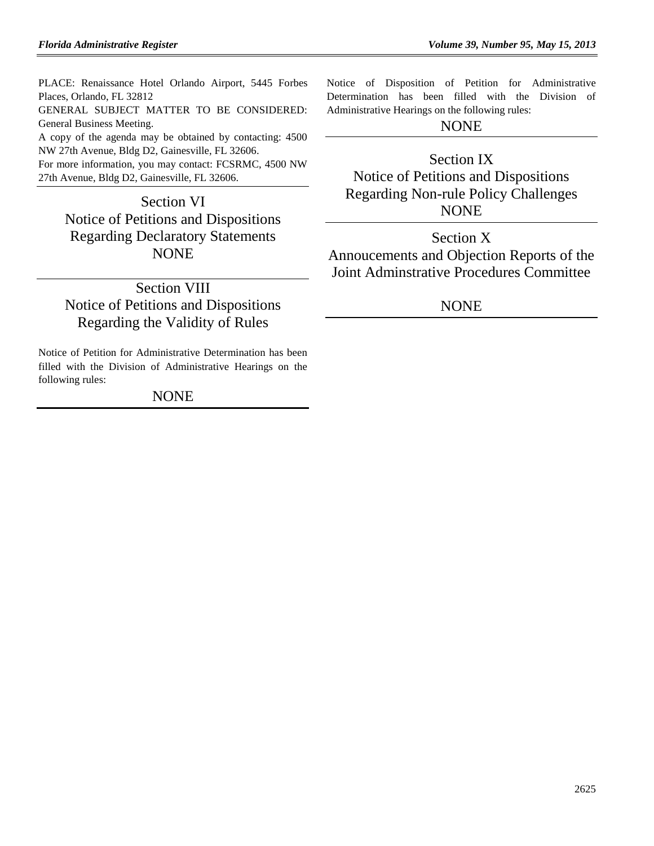PLACE: Renaissance Hotel Orlando Airport, 5445 Forbes Places, Orlando, FL 32812 GENERAL SUBJECT MATTER TO BE CONSIDERED: General Business Meeting. A copy of the agenda may be obtained by contacting: 4500 NW 27th Avenue, Bldg D2, Gainesville, FL 32606. For more information, you may contact: FCSRMC, 4500 NW 27th Avenue, Bldg D2, Gainesville, FL 32606.

Section VI Notice of Petitions and Dispositions Regarding Declaratory Statements **NONE** 

Section VIII Notice of Petitions and Dispositions Regarding the Validity of Rules

Notice of Petition for Administrative Determination has been filled with the Division of Administrative Hearings on the following rules:

## NONE

Notice of Disposition of Petition for Administrative Determination has been filled with the Division of Administrative Hearings on the following rules:

## NONE

# Section IX Notice of Petitions and Dispositions Regarding Non-rule Policy Challenges NONE

Section X Annoucements and Objection Reports of the Joint Adminstrative Procedures Committee

## **NONE**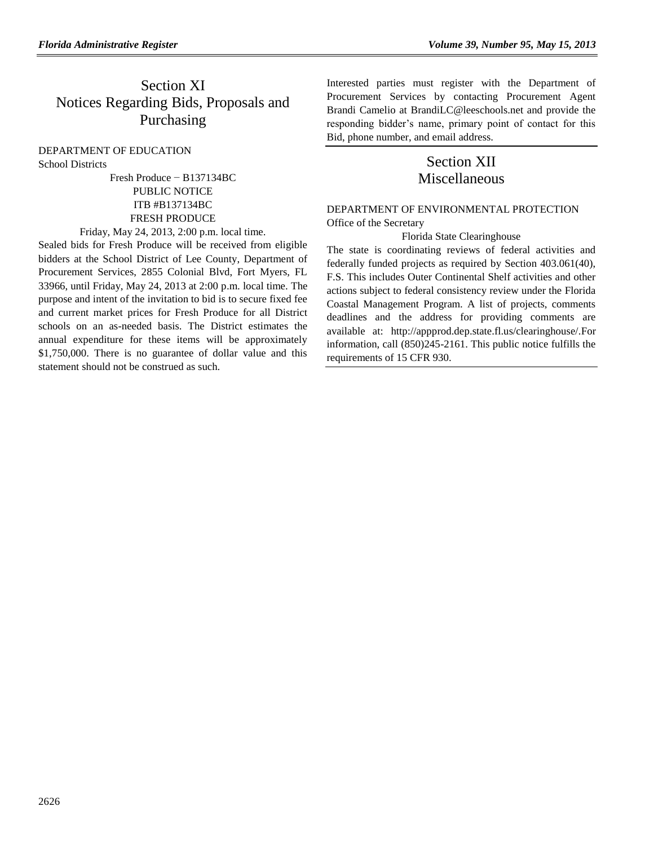# Section XI Notices Regarding Bids, Proposals and Purchasing

#### [DEPARTMENT OF EDUCATION](https://www.flrules.org/gateway/department.asp?id=6) [School Districts](https://www.flrules.org/gateway/organization.asp?id=211)

Fresh Produce − B137134BC PUBLIC NOTICE ITB #B137134BC FRESH PRODUCE

Friday, May 24, 2013, 2:00 p.m. local time.

Sealed bids for Fresh Produce will be received from eligible bidders at the School District of Lee County, Department of Procurement Services, 2855 Colonial Blvd, Fort Myers, FL 33966, until Friday, May 24, 2013 at 2:00 p.m. local time. The purpose and intent of the invitation to bid is to secure fixed fee and current market prices for Fresh Produce for all District schools on an as-needed basis. The District estimates the annual expenditure for these items will be approximately \$1,750,000. There is no guarantee of dollar value and this statement should not be construed as such.

Interested parties must register with the Department of Procurement Services by contacting Procurement Agent Brandi Camelio at BrandiLC@leeschools.net and provide the responding bidder's name, primary point of contact for this Bid, phone number, and email address.

## Section XII Miscellaneous

## [DEPARTMENT OF ENVIRONMENTAL PROTECTION](https://www.flrules.org/gateway/department.asp?id=62) [Office of the Secretary](https://www.flrules.org/gateway/organization.asp?id=294)

### Florida State Clearinghouse

The state is coordinating reviews of federal activities and federally funded projects as required by Section 403.061(40), F.S. This includes Outer Continental Shelf activities and other actions subject to federal consistency review under the Florida Coastal Management Program. A list of projects, comments deadlines and the address for providing comments are available at: [http://appprod.dep.state.fl.us/clearinghouse/.](http://appprod.dep.state.fl.us/clearinghouse/)For information, call (850)245-2161. This public notice fulfills the requirements of 15 CFR 930.